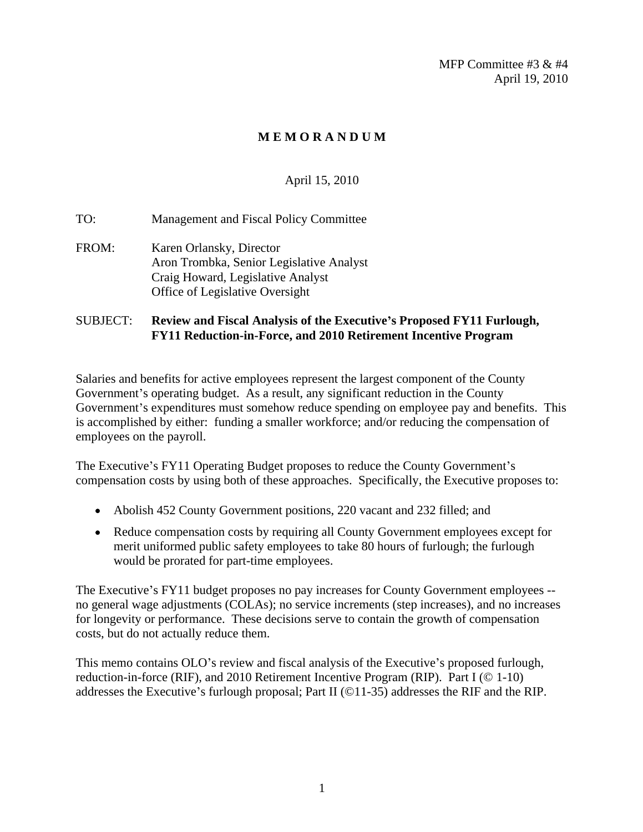MFP Committee #3 & #4 April 19, 2010

### **M E M O R A N D U M**

### April 15, 2010

TO: Management and Fiscal Policy Committee FROM: Karen Orlansky, Director Aron Trombka, Senior Legislative Analyst Craig Howard, Legislative Analyst Office of Legislative Oversight

#### SUBJECT: **Review and Fiscal Analysis of the Executive s Proposed FY11 Furlough, FY11 Reduction-in-Force, and 2010 Retirement Incentive Program**

Salaries and benefits for active employees represent the largest component of the County Government's operating budget. As a result, any significant reduction in the County Government's expenditures must somehow reduce spending on employee pay and benefits. This is accomplished by either: funding a smaller workforce; and/or reducing the compensation of employees on the payroll.

The Executive's FY11 Operating Budget proposes to reduce the County Government's compensation costs by using both of these approaches. Specifically, the Executive proposes to:

- Abolish 452 County Government positions, 220 vacant and 232 filled; and
- Reduce compensation costs by requiring all County Government employees except for merit uniformed public safety employees to take 80 hours of furlough; the furlough would be prorated for part-time employees.

The Executive's FY11 budget proposes no pay increases for County Government employees -no general wage adjustments (COLAs); no service increments (step increases), and no increases for longevity or performance. These decisions serve to contain the growth of compensation costs, but do not actually reduce them.

This memo contains OLO's review and fiscal analysis of the Executive's proposed furlough, reduction-in-force (RIF), and 2010 Retirement Incentive Program (RIP). Part I (© 1-10) addresses the Executive's furlough proposal; Part II ( $\odot$ 11-35) addresses the RIF and the RIP.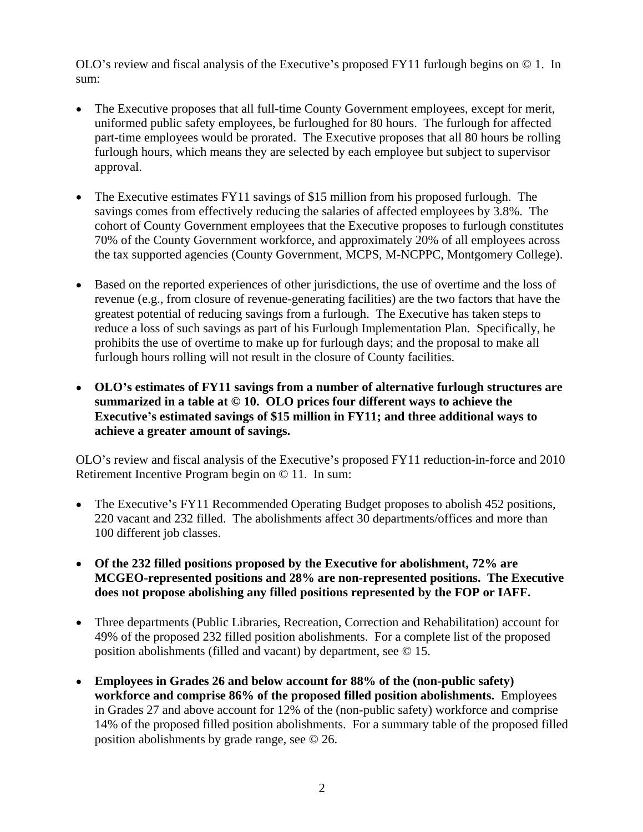OLO's review and fiscal analysis of the Executive's proposed FY11 furlough begins on  $\odot$  1. In sum:

- The Executive proposes that all full-time County Government employees, except for merit, uniformed public safety employees, be furloughed for 80 hours. The furlough for affected part-time employees would be prorated. The Executive proposes that all 80 hours be rolling furlough hours, which means they are selected by each employee but subject to supervisor approval.
- The Executive estimates FY11 savings of \$15 million from his proposed furlough. The savings comes from effectively reducing the salaries of affected employees by 3.8%. The cohort of County Government employees that the Executive proposes to furlough constitutes 70% of the County Government workforce, and approximately 20% of all employees across the tax supported agencies (County Government, MCPS, M-NCPPC, Montgomery College).
- Based on the reported experiences of other jurisdictions, the use of overtime and the loss of revenue (e.g., from closure of revenue-generating facilities) are the two factors that have the greatest potential of reducing savings from a furlough. The Executive has taken steps to reduce a loss of such savings as part of his Furlough Implementation Plan. Specifically, he prohibits the use of overtime to make up for furlough days; and the proposal to make all furlough hours rolling will not result in the closure of County facilities.
- **OLO s estimates of FY11 savings from a number of alternative furlough structures are summarized in a table at © 10. OLO prices four different ways to achieve the Executive s estimated savings of \$15 million in FY11; and three additional ways to achieve a greater amount of savings.**

OLO's review and fiscal analysis of the Executive's proposed FY11 reduction-in-force and 2010 Retirement Incentive Program begin on © 11. In sum:

- The Executive's FY11 Recommended Operating Budget proposes to abolish  $452$  positions, 220 vacant and 232 filled. The abolishments affect 30 departments/offices and more than 100 different job classes.
- **Of the 232 filled positions proposed by the Executive for abolishment, 72% are MCGEO-represented positions and 28% are non-represented positions. The Executive does not propose abolishing any filled positions represented by the FOP or IAFF.**
- Three departments (Public Libraries, Recreation, Correction and Rehabilitation) account for 49% of the proposed 232 filled position abolishments. For a complete list of the proposed position abolishments (filled and vacant) by department, see © 15.
- **Employees in Grades 26 and below account for 88% of the (non-public safety) workforce and comprise 86% of the proposed filled position abolishments.** Employees in Grades 27 and above account for 12% of the (non-public safety) workforce and comprise 14% of the proposed filled position abolishments. For a summary table of the proposed filled position abolishments by grade range, see © 26.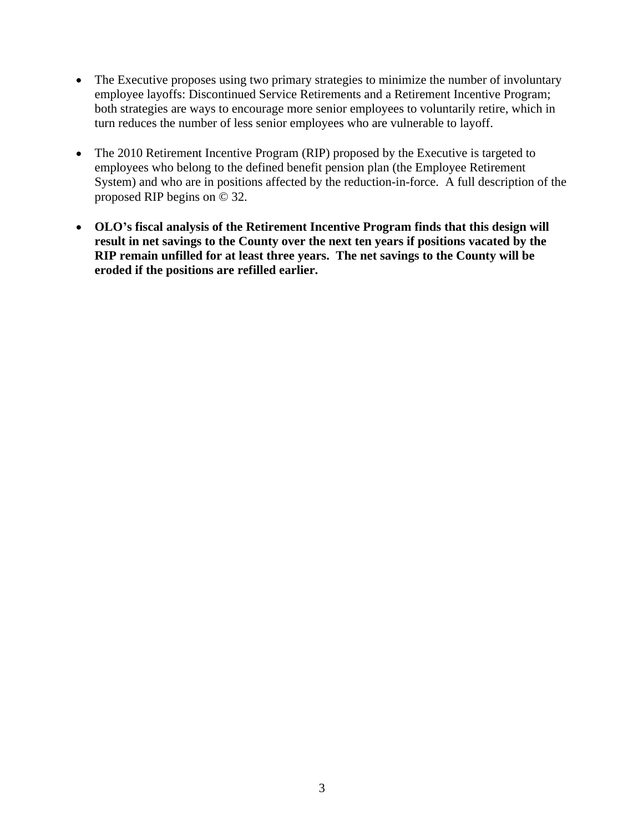- The Executive proposes using two primary strategies to minimize the number of involuntary employee layoffs: Discontinued Service Retirements and a Retirement Incentive Program; both strategies are ways to encourage more senior employees to voluntarily retire, which in turn reduces the number of less senior employees who are vulnerable to layoff.
- The 2010 Retirement Incentive Program (RIP) proposed by the Executive is targeted to  $\bullet$ employees who belong to the defined benefit pension plan (the Employee Retirement System) and who are in positions affected by the reduction-in-force. A full description of the proposed RIP begins on © 32.
- **OLO s fiscal analysis of the Retirement Incentive Program finds that this design will result in net savings to the County over the next ten years if positions vacated by the RIP remain unfilled for at least three years. The net savings to the County will be eroded if the positions are refilled earlier.**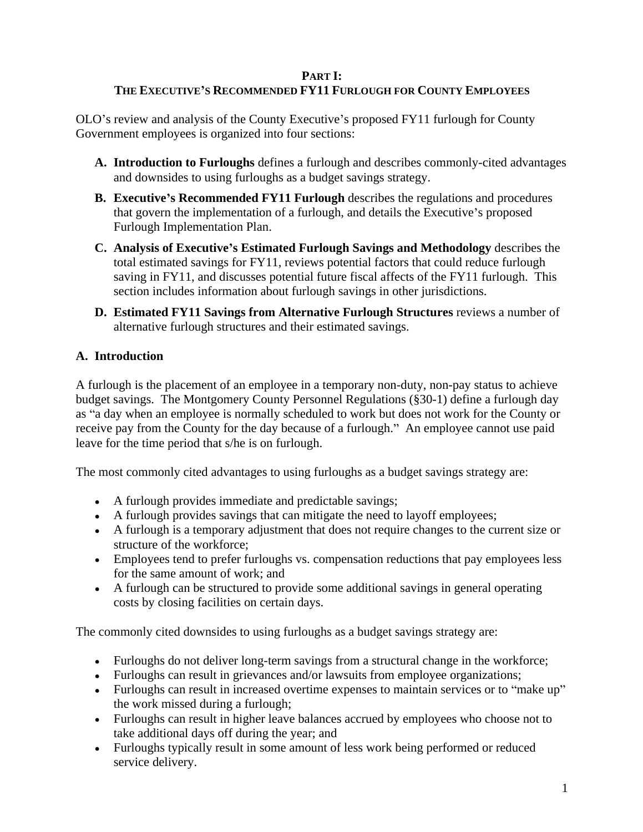# **PART I:**

# **THE EXECUTIVE S RECOMMENDED FY11 FURLOUGH FOR COUNTY EMPLOYEES**

OLO's review and analysis of the County Executive's proposed FY11 furlough for County Government employees is organized into four sections:

- **A. Introduction to Furloughs** defines a furlough and describes commonly-cited advantages and downsides to using furloughs as a budget savings strategy.
- **B. Executive's Recommended FY11 Furlough** describes the regulations and procedures that govern the implementation of a furlough, and details the Executive's proposed Furlough Implementation Plan.
- **C. Analysis of Executive s Estimated Furlough Savings and Methodology** describes the total estimated savings for FY11, reviews potential factors that could reduce furlough saving in FY11, and discusses potential future fiscal affects of the FY11 furlough. This section includes information about furlough savings in other jurisdictions.
- **D. Estimated FY11 Savings from Alternative Furlough Structures** reviews a number of alternative furlough structures and their estimated savings.

# **A. Introduction**

A furlough is the placement of an employee in a temporary non-duty, non-pay status to achieve budget savings. The Montgomery County Personnel Regulations (§30-1) define a furlough day as "a day when an employee is normally scheduled to work but does not work for the County or receive pay from the County for the day because of a furlough." An employee cannot use paid leave for the time period that s/he is on furlough.

The most commonly cited advantages to using furloughs as a budget savings strategy are:

- A furlough provides immediate and predictable savings;
- A furlough provides savings that can mitigate the need to layoff employees;
- A furlough is a temporary adjustment that does not require changes to the current size or structure of the workforce;
- Employees tend to prefer furloughs vs. compensation reductions that pay employees less for the same amount of work; and
- A furlough can be structured to provide some additional savings in general operating costs by closing facilities on certain days.

The commonly cited downsides to using furloughs as a budget savings strategy are:

- Furloughs do not deliver long-term savings from a structural change in the workforce;
- Furloughs can result in grievances and/or lawsuits from employee organizations;
- Furloughs can result in increased overtime expenses to maintain services or to "make up" the work missed during a furlough;
- Furloughs can result in higher leave balances accrued by employees who choose not to take additional days off during the year; and
- Furloughs typically result in some amount of less work being performed or reduced service delivery.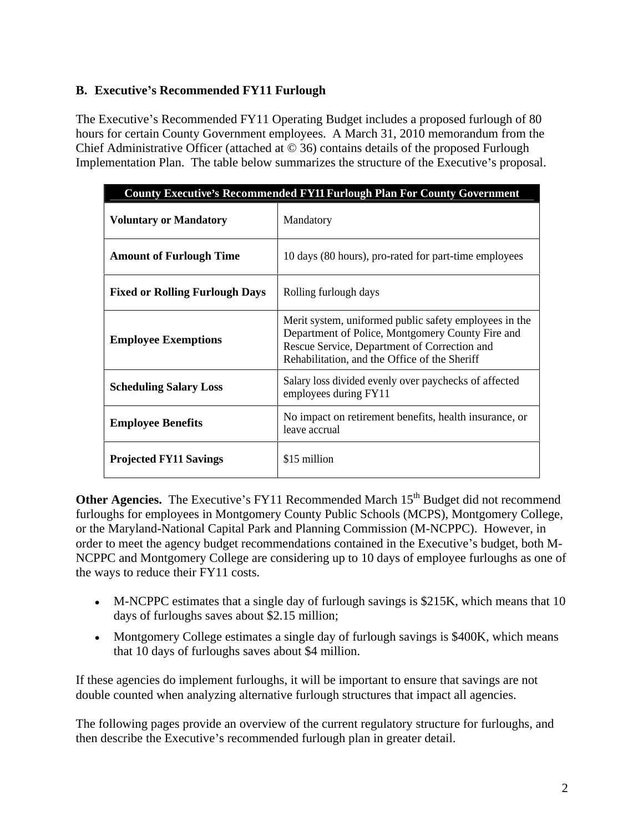## **B. Executive s Recommended FY11 Furlough**

The Executive's Recommended FY11 Operating Budget includes a proposed furlough of 80 hours for certain County Government employees. A March 31, 2010 memorandum from the Chief Administrative Officer (attached at © 36) contains details of the proposed Furlough Implementation Plan. The table below summarizes the structure of the Executive's proposal.

|                                       | County Executive's Recommended FY11 Furlough Plan For County Government                                                                                                                                     |
|---------------------------------------|-------------------------------------------------------------------------------------------------------------------------------------------------------------------------------------------------------------|
| <b>Voluntary or Mandatory</b>         | Mandatory                                                                                                                                                                                                   |
| <b>Amount of Furlough Time</b>        | 10 days (80 hours), pro-rated for part-time employees                                                                                                                                                       |
| <b>Fixed or Rolling Furlough Days</b> | Rolling furlough days                                                                                                                                                                                       |
| <b>Employee Exemptions</b>            | Merit system, uniformed public safety employees in the<br>Department of Police, Montgomery County Fire and<br>Rescue Service, Department of Correction and<br>Rehabilitation, and the Office of the Sheriff |
| <b>Scheduling Salary Loss</b>         | Salary loss divided evenly over paychecks of affected<br>employees during FY11                                                                                                                              |
| <b>Employee Benefits</b>              | No impact on retirement benefits, health insurance, or<br>leave accrual                                                                                                                                     |
| <b>Projected FY11 Savings</b>         | \$15 million                                                                                                                                                                                                |

**Other Agencies.** The Executive's FY11 Recommended March 15<sup>th</sup> Budget did not recommend furloughs for employees in Montgomery County Public Schools (MCPS), Montgomery College, or the Maryland-National Capital Park and Planning Commission (M-NCPPC). However, in order to meet the agency budget recommendations contained in the Executive's budget, both M-NCPPC and Montgomery College are considering up to 10 days of employee furloughs as one of

- the ways to reduce their FY11 costs.<br>• M-NCPPC estimates that a single day of furlough savings is \$215K, which means that 10 days of furloughs saves about \$2.15 million;
	- Montgomery College estimates a single day of furlough savings is \$400K, which means that 10 days of furloughs saves about \$4 million.

If these agencies do implement furloughs, it will be important to ensure that savings are not double counted when analyzing alternative furlough structures that impact all agencies.

The following pages provide an overview of the current regulatory structure for furloughs, and then describe the Executive's recommended furlough plan in greater detail.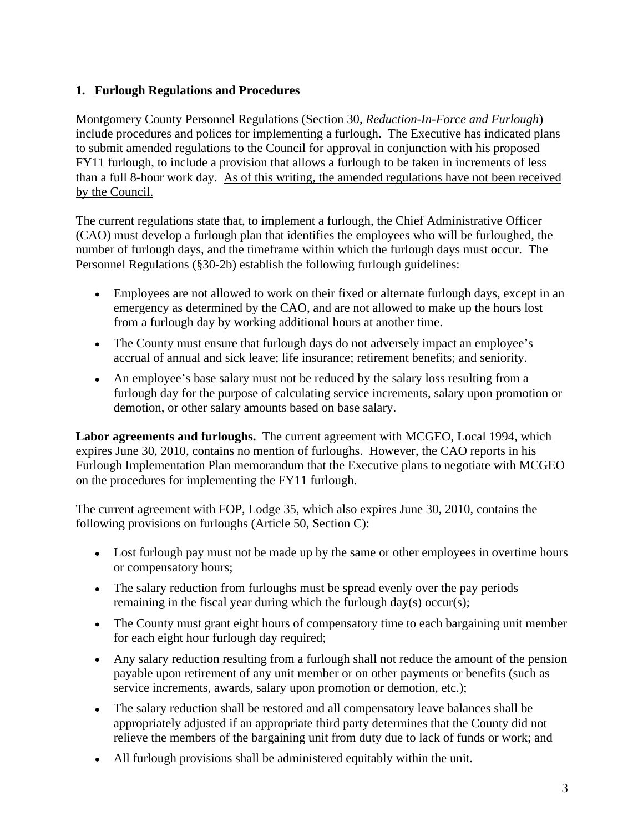## **1. Furlough Regulations and Procedures**

Montgomery County Personnel Regulations (Section 30, *Reduction-In-Force and Furlough*) include procedures and polices for implementing a furlough. The Executive has indicated plans to submit amended regulations to the Council for approval in conjunction with his proposed FY11 furlough, to include a provision that allows a furlough to be taken in increments of less than a full 8-hour work day. As of this writing, the amended regulations have not been received by the Council.<br>The current regulations state that, to implement a furlough, the Chief Administrative Officer

(CAO) must develop a furlough plan that identifies the employees who will be furloughed, the number of furlough days, and the timeframe within which the furlough days must occur. The Personnel Regulations (§30-2b) establish the following furlough guidelines:

- Employees are not allowed to work on their fixed or alternate furlough days, except in an emergency as determined by the CAO, and are not allowed to make up the hours lost from a furlough day by working additional hours at another time.
- The County must ensure that furlough days do not adversely impact an employee's accrual of annual and sick leave; life insurance; retirement benefits; and seniority.
- An employee's base salary must not be reduced by the salary loss resulting from a furlough day for the purpose of calculating service increments, salary upon promotion or demotion, or other salary amounts based on base salary.

**Labor agreements and furloughs.** The current agreement with MCGEO, Local 1994, which expires June 30, 2010, contains no mention of furloughs. However, the CAO reports in his Furlough Implementation Plan memorandum that the Executive plans to negotiate with MCGEO on the procedures for implementing the FY11 furlough.

The current agreement with FOP, Lodge 35, which also expires June 30, 2010, contains the following provisions on furloughs (Article 50, Section C):

- Lost furlough pay must not be made up by the same or other employees in overtime hours or compensatory hours;
- The salary reduction from furloughs must be spread evenly over the pay periods remaining in the fiscal year during which the furlough day(s) occur(s);
- The County must grant eight hours of compensatory time to each bargaining unit member for each eight hour furlough day required;
- Any salary reduction resulting from a furlough shall not reduce the amount of the pension payable upon retirement of any unit member or on other payments or benefits (such as service increments, awards, salary upon promotion or demotion, etc.);
- The salary reduction shall be restored and all compensatory leave balances shall be appropriately adjusted if an appropriate third party determines that the County did not relieve the members of the bargaining unit from duty due to lack of funds or work; and
- All furlough provisions shall be administered equitably within the unit.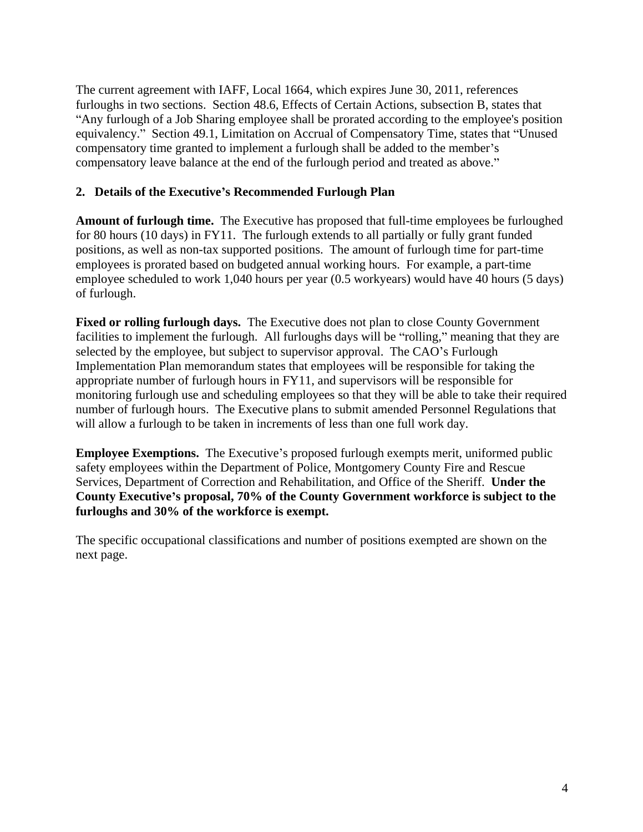The current agreement with IAFF, Local 1664, which expires June 30, 2011, references furloughs in two sections. Section 48.6, Effects of Certain Actions, subsection B, states that Any furlough of a Job Sharing employee shall be prorated according to the employee's position equivalency." Section 49.1, Limitation on Accrual of Compensatory Time, states that "Unused compensatory time granted to implement a furlough shall be added to the member's compensatory leave balance at the end of the furlough period and treated as above.

### **2. Details of the Executive s Recommended Furlough Plan**

**Amount of furlough time.** The Executive has proposed that full-time employees be furloughed for 80 hours (10 days) in FY11. The furlough extends to all partially or fully grant funded positions, as well as non-tax supported positions. The amount of furlough time for part-time employees is prorated based on budgeted annual working hours. For example, a part-time employee scheduled to work 1,040 hours per year (0.5 workyears) would have 40 hours (5 days) of furlough.

**Fixed or rolling furlough days.** The Executive does not plan to close County Government facilities to implement the furlough. All furloughs days will be "rolling," meaning that they are selected by the employee, but subject to supervisor approval. The CAO's Furlough Implementation Plan memorandum states that employees will be responsible for taking the appropriate number of furlough hours in FY11, and supervisors will be responsible for monitoring furlough use and scheduling employees so that they will be able to take their required number of furlough hours. The Executive plans to submit amended Personnel Regulations that will allow a furlough to be taken in increments of less than one full work day.

**Employee Exemptions.** The Executive's proposed furlough exempts merit, uniformed public safety employees within the Department of Police, Montgomery County Fire and Rescue Services, Department of Correction and Rehabilitation, and Office of the Sheriff. **Under the County Executive s proposal, 70% of the County Government workforce is subject to the furloughs and 30% of the workforce is exempt.**

The specific occupational classifications and number of positions exempted are shown on the next page.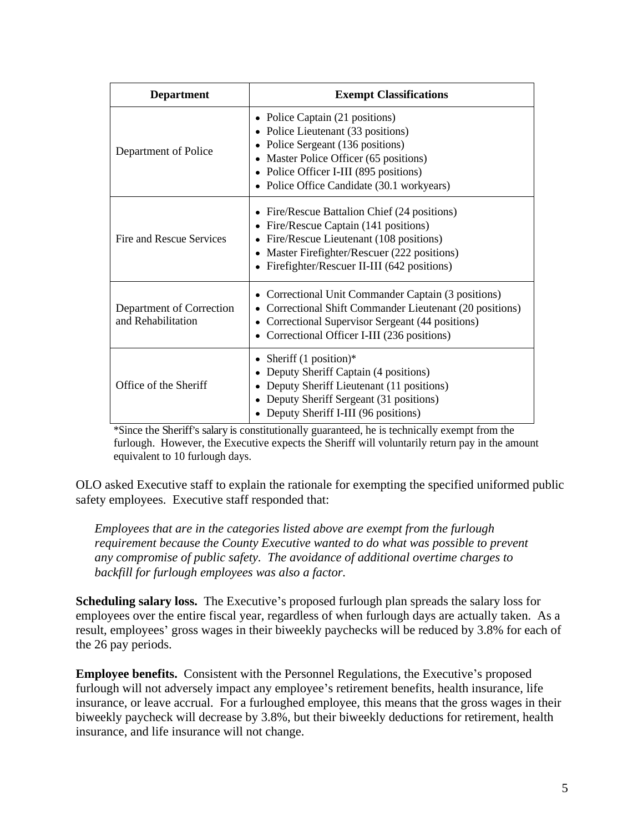| <b>Department</b>                              | <b>Exempt Classifications</b>                                                                                                                                                                                                                |
|------------------------------------------------|----------------------------------------------------------------------------------------------------------------------------------------------------------------------------------------------------------------------------------------------|
| Department of Police                           | • Police Captain (21 positions)<br>• Police Lieutenant (33 positions)<br>• Police Sergeant (136 positions)<br>• Master Police Officer (65 positions)<br>• Police Officer I-III (895 positions)<br>• Police Office Candidate (30.1 workyears) |
| Fire and Rescue Services                       | • Fire/Rescue Battalion Chief (24 positions)<br>• Fire/Rescue Captain (141 positions)<br>• Fire/Rescue Lieutenant (108 positions)<br>• Master Firefighter/Rescuer (222 positions)<br>• Firefighter/Rescuer II-III (642 positions)            |
| Department of Correction<br>and Rehabilitation | • Correctional Unit Commander Captain (3 positions)<br>• Correctional Shift Commander Lieutenant (20 positions)<br>• Correctional Supervisor Sergeant (44 positions)<br>• Correctional Officer I-III (236 positions)                         |
| Office of the Sheriff                          | • Sheriff $(1 \text{ position})^*$<br>• Deputy Sheriff Captain (4 positions)<br>• Deputy Sheriff Lieutenant (11 positions)<br>• Deputy Sheriff Sergeant (31 positions)<br>• Deputy Sheriff I-III (96 positions)                              |

\*Since the Sheriff s salary is constitutionally guaranteed, he is technically exempt from the furlough. However, the Executive expects the Sheriff will voluntarily return pay in the amount equivalent to 10 furlough days.

OLO asked Executive staff to explain the rationale for exempting the specified uniformed public safety employees. Executive staff responded that:

*Employees that are in the categories listed above are exempt from the furlough requirement because the County Executive wanted to do what was possible to prevent any compromise of public safety. The avoidance of additional overtime charges to backfill for furlough employees was also a factor.*

Scheduling salary loss. The Executive's proposed furlough plan spreads the salary loss for employees over the entire fiscal year, regardless of when furlough days are actually taken. As a result, employees' gross wages in their biweekly paychecks will be reduced by 3.8% for each of the 26 pay periods.

**Employee benefits.** Consistent with the Personnel Regulations, the Executive's proposed furlough will not adversely impact any employee's retirement benefits, health insurance, life insurance, or leave accrual. For a furloughed employee, this means that the gross wages in their biweekly paycheck will decrease by 3.8%, but their biweekly deductions for retirement, health insurance, and life insurance will not change.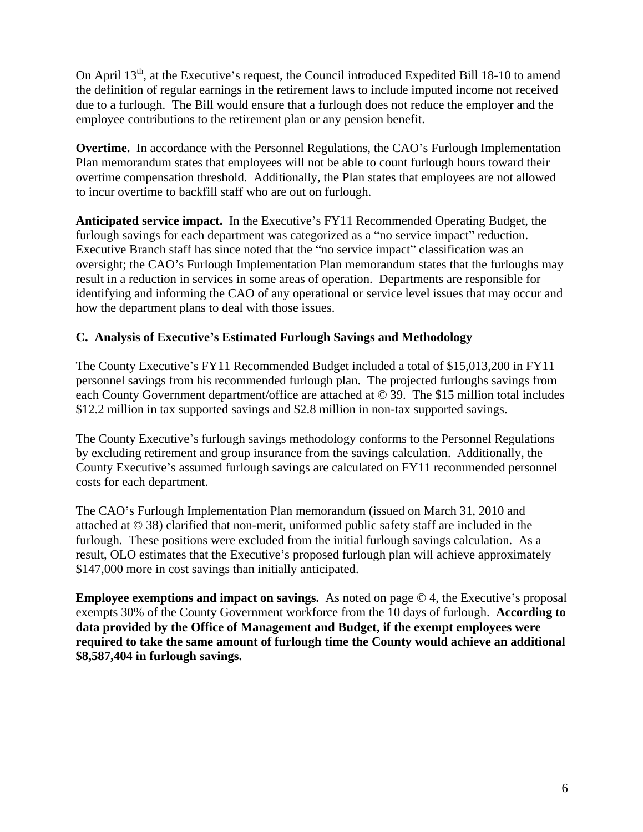On April 13<sup>th</sup>, at the Executive's request, the Council introduced Expedited Bill 18-10 to amend the definition of regular earnings in the retirement laws to include imputed income not received due to a furlough. The Bill would ensure that a furlough does not reduce the employer and the employee contributions to the retirement plan or any pension benefit.

**Overtime.** In accordance with the Personnel Regulations, the CAO's Furlough Implementation Plan memorandum states that employees will not be able to count furlough hours toward their overtime compensation threshold. Additionally, the Plan states that employees are not allowed to incur overtime to backfill staff who are out on furlough.

Anticipated service impact. In the Executive's FY11 Recommended Operating Budget, the furlough savings for each department was categorized as a "no service impact" reduction. Executive Branch staff has since noted that the "no service impact" classification was an oversight; the CAO's Furlough Implementation Plan memorandum states that the furloughs may result in a reduction in services in some areas of operation. Departments are responsible for identifying and informing the CAO of any operational or service level issues that may occur and how the department plans to deal with those issues.

## **C. Analysis of Executive s Estimated Furlough Savings and Methodology**

The County Executive's FY11 Recommended Budget included a total of \$15,013,200 in FY11 personnel savings from his recommended furlough plan. The projected furloughs savings from each County Government department/office are attached at © 39. The \$15 million total includes \$12.2 million in tax supported savings and \$2.8 million in non-tax supported savings.

The County Executive's furlough savings methodology conforms to the Personnel Regulations by excluding retirement and group insurance from the savings calculation. Additionally, the County Executive's assumed furlough savings are calculated on FY11 recommended personnel costs for each department.

The CAO's Furlough Implementation Plan memorandum (issued on March 31, 2010 and attached at © 38) clarified that non-merit, uniformed public safety staff are included in the furlough. These positions were excluded from the initial furlough savings calculation. As a result, OLO estimates that the Executive's proposed furlough plan will achieve approximately \$147,000 more in cost savings than initially anticipated.

**Employee exemptions and impact on savings.** As noted on page  $\odot$  4, the Executive's proposal exempts 30% of the County Government workforce from the 10 days of furlough. **According to data provided by the Office of Management and Budget, if the exempt employees were required to take the same amount of furlough time the County would achieve an additional \$8,587,404 in furlough savings.**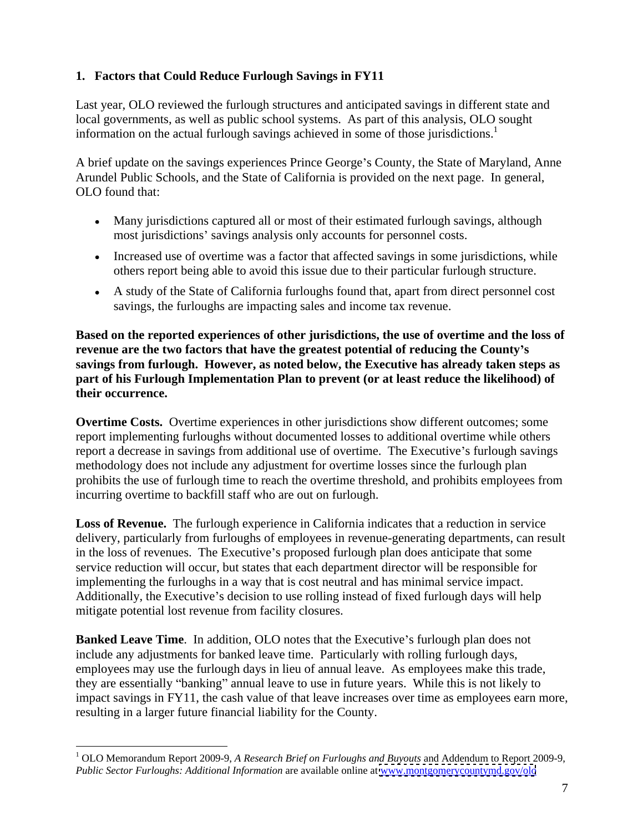## **1. Factors that Could Reduce Furlough Savings in FY11**

Last year, OLO reviewed the furlough structures and anticipated savings in different state and local governments, as well as public school systems. As part of this analysis, OLO sought information on the actual furlough savings achieved in some of those jurisdictions.<sup>1</sup>

A brief update on the savings experiences Prince George's County, the State of Maryland, Anne Arundel Public Schools, and the State of California is provided on the next page. In general, OLO found that:

- Many jurisdictions captured all or most of their estimated furlough savings, although most jurisdictions' savings analysis only accounts for personnel costs.
- Increased use of overtime was a factor that affected savings in some jurisdictions, while others report being able to avoid this issue due to their particular furlough structure.
- A study of the State of California furloughs found that, apart from direct personnel cost savings, the furloughs are impacting sales and income tax revenue.

**Based on the reported experiences of other jurisdictions, the use of overtime and the loss of revenue are the two factors that have the greatest potential of reducing the County s savings from furlough. However, as noted below, the Executive has already taken steps as part of his Furlough Implementation Plan to prevent (or at least reduce the likelihood) of their occurrence.**

**Overtime Costs.** Overtime experiences in other jurisdictions show different outcomes; some report implementing furloughs without documented losses to additional overtime while others report a decrease in savings from additional use of overtime. The Executive's furlough savings methodology does not include any adjustment for overtime losses since the furlough plan prohibits the use of furlough time to reach the overtime threshold, and prohibits employees from incurring overtime to backfill staff who are out on furlough.

**Loss of Revenue.** The furlough experience in California indicates that a reduction in service delivery, particularly from furloughs of employees in revenue-generating departments, can result in the loss of revenues. The Executive's proposed furlough plan does anticipate that some service reduction will occur, but states that each department director will be responsible for implementing the furloughs in a way that is cost neutral and has minimal service impact. Additionally, the Executive's decision to use rolling instead of fixed furlough days will help mitigate potential lost revenue from facility closures.

**Banked Leave Time.** In addition, OLO notes that the Executive's furlough plan does not include any adjustments for banked leave time. Particularly with rolling furlough days, employees may use the furlough days in lieu of annual leave. As employees make this trade, they are essentially "banking" annual leave to use in future years. While this is not likely to impact savings in FY11, the cash value of that leave increases over time as employees earn more, resulting in a larger future financial liability for the County.

 <sup>1</sup> OLO Memorandum Report 2009-9, *A Research Brief on Furloughs and Buyouts* and Addendum to Report 2009-9, *Public Sector Furloughs: Additional Information* are available online at [www.montgomerycountymd.gov/olo](http://www.montgomerycountymd.gov/olo)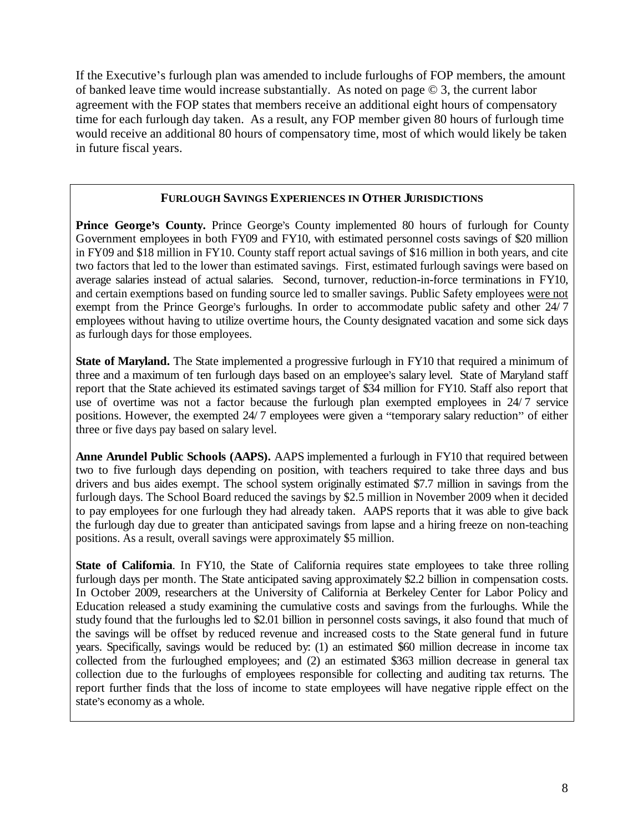If the Executive's furlough plan was amended to include furloughs of FOP members, the amount of banked leave time would increase substantially. As noted on page © 3, the current labor agreement with the FOP states that members receive an additional eight hours of compensatory time for each furlough day taken. As a result, any FOP member given 80 hours of furlough time would receive an additional 80 hours of compensatory time, most of which would likely be taken in future fiscal years.

## **FURLOUGH SAVINGS EXPERIENCES IN OTHER JURISDICTIONS**

**Prince George's County.** Prince George's County implemented 80 hours of furlough for County Government employees in both FY09 and FY10, with estimated personnel costs savings of \$20 million in FY09 and \$18 million in FY10. County staff report actual savings of \$16 million in both years, and cite two factors that led to the lower than estimated savings. First, estimated furlough savings were based on average salaries instead of actual salaries. Second, turnover, reduction-in-force terminations in FY10, and certain exemptions based on funding source led to smaller savings. Public Safety employees were not exempt from the Prince George's furloughs. In order to accommodate public safety and other 24/7 employees without having to utilize overtime hours, the County designated vacation and some sick days as furlough days for those employees.

**State of Maryland.** The State implemented a progressive furlough in FY10 that required a minimum of three and a maximum of ten furlough days based on an employee's salary level. State of Maryland staff report that the State achieved its estimated savings target of \$34 million for FY10. Staff also report that use of overtime was not a factor because the furlough plan exempted employees in  $24/7$  service positions. However, the exempted 24/7 employees were given a "temporary salary reduction" of either three or five days pay based on salary level.

**Anne Arundel Public Schools (AAPS).** AAPS implemented a furlough in FY10 that required between two to five furlough days depending on position, with teachers required to take three days and bus drivers and bus aides exempt. The school system originally estimated \$7.7 million in savings from the furlough days. The School Board reduced the savings by \$2.5 million in November 2009 when it decided to pay employees for one furlough they had already taken. AAPS reports that it was able to give back the furlough day due to greater than anticipated savings from lapse and a hiring freeze on non-teaching positions. As a result, overall savings were approximately \$5 million.

**State of California**. In FY10, the State of California requires state employees to take three rolling furlough days per month. The State anticipated saving approximately \$2.2 billion in compensation costs. In October 2009, researchers at the University of California at Berkeley Center for Labor Policy and Education released a study examining the cumulative costs and savings from the furloughs. While the study found that the furloughs led to \$2.01 billion in personnel costs savings, it also found that much of the savings will be offset by reduced revenue and increased costs to the State general fund in future years. Specifically, savings would be reduced by: (1) an estimated \$60 million decrease in income tax collected from the furloughed employees; and (2) an estimated \$363 million decrease in general tax collection due to the furloughs of employees responsible for collecting and auditing tax returns. The report further finds that the loss of income to state employees will have negative ripple effect on the state's economy as a whole.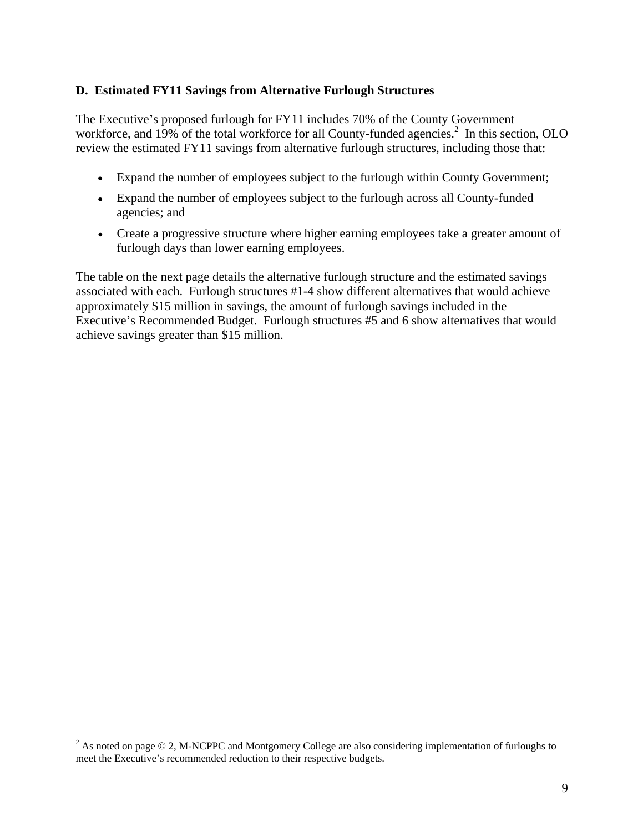#### **D. Estimated FY11 Savings from Alternative Furlough Structures**

The Executive's proposed furlough for FY11 includes 70% of the County Government workforce, and 19% of the total workforce for all County-funded agencies.<sup>2</sup> In this section, OLO review the estimated FY11 savings from alternative furlough structures, including those that:

- Expand the number of employees subject to the furlough within County Government;
- Expand the number of employees subject to the furlough across all County-funded agencies; and
- Create a progressive structure where higher earning employees take a greater amount of furlough days than lower earning employees.

The table on the next page details the alternative furlough structure and the estimated savings associated with each. Furlough structures #1-4 show different alternatives that would achieve approximately \$15 million in savings, the amount of furlough savings included in the Executive's Recommended Budget. Furlough structures #5 and 6 show alternatives that would achieve savings greater than \$15 million.

<sup>&</sup>lt;sup>2</sup> As noted on page © 2, M-NCPPC and Montgomery College are also considering implementation of furloughs to meet the Executive's recommended reduction to their respective budgets.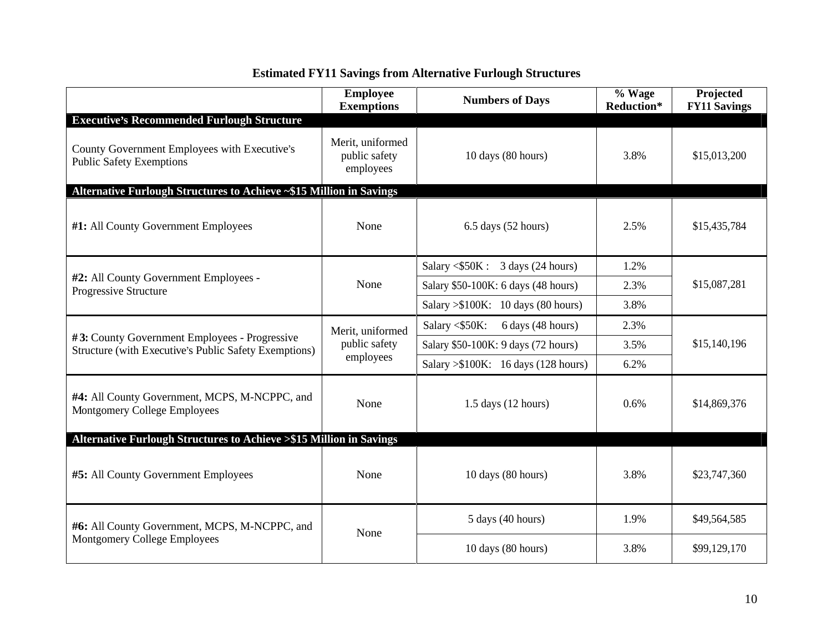|                                                                               | <b>Employee</b><br><b>Exemptions</b>           | <b>Numbers of Days</b>                     | % Wage<br>Reduction* | Projected<br><b>FY11 Savings</b> |
|-------------------------------------------------------------------------------|------------------------------------------------|--------------------------------------------|----------------------|----------------------------------|
| <b>Executive's Recommended Furlough Structure</b>                             |                                                |                                            |                      |                                  |
| County Government Employees with Executive's<br>Public Safety Exemptions      | Merit, uniformed<br>public safety<br>employees | 10 days (80 hours)                         | 3.8%                 | \$15,013,200                     |
| Alternative Furlough Structures to Achieve ~\$15 Million in Savings           |                                                |                                            |                      |                                  |
| #1: All County Government Employees                                           | None                                           | 6.5 days (52 hours)                        | 2.5%                 | \$15,435,784                     |
|                                                                               |                                                | Salary $\langle$ \$50K : 3 days (24 hours) | 1.2%                 |                                  |
| #2: All County Government Employees -<br>Progressive Structure                | None                                           | Salary \$50-100K: 6 days (48 hours)        | 2.3%                 | \$15,087,281                     |
|                                                                               |                                                | Salary $> $100K$ : 10 days (80 hours)      | 3.8%                 |                                  |
| #3: County Government Employees - Progressive                                 | Merit, uniformed                               | Salary $\langle$ \$50K: 6 days (48 hours)  | 2.3%                 |                                  |
| Structure (with Executive's Public Safety Exemptions)                         | public safety<br>employees                     | Salary \$50-100K: 9 days (72 hours)        | 3.5%                 | \$15,140,196                     |
|                                                                               |                                                | Salary > \$100K: 16 days (128 hours)       | 6.2%                 |                                  |
| #4: All County Government, MCPS, M-NCPPC, and<br>Montgomery College Employees | None                                           | 1.5 days (12 hours)                        | $0.6\%$              | \$14,869,376                     |
| Alternative Furlough Structures to Achieve >\$15 Million in Savings           |                                                |                                            |                      |                                  |
| #5: All County Government Employees                                           | None                                           | 10 days (80 hours)                         | 3.8%                 | \$23,747,360                     |
| #6: All County Government, MCPS, M-NCPPC, and                                 | None                                           | $5 \text{ days}$ (40 hours)                | 1.9%                 | \$49,564,585                     |
| Montgomery College Employees                                                  |                                                | 10 days (80 hours)                         | 3.8%                 | \$99,129,170                     |

# **Estimated FY11 Savings from Alternative Furlough Structures**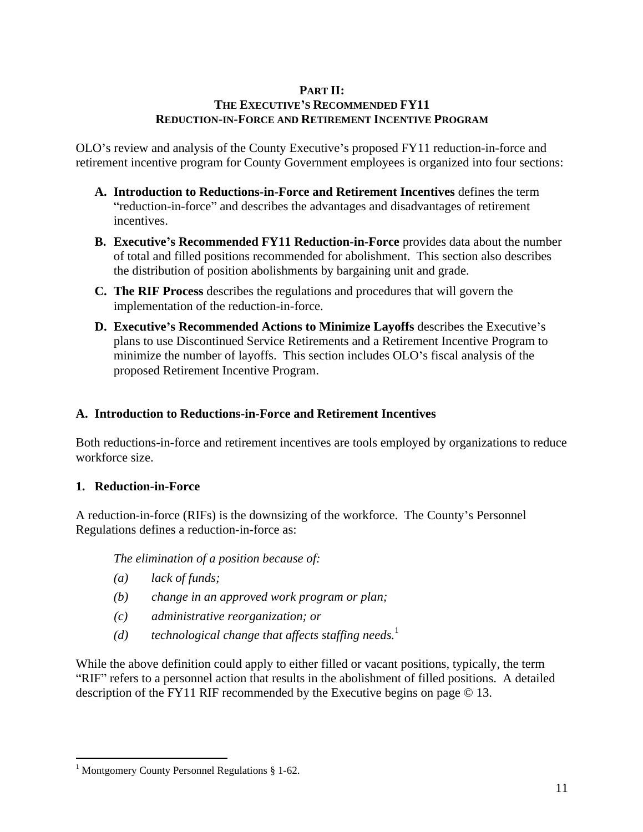## **PART II:**

## THE EXECUTIVE'S RECOMMENDED FY11 **REDUCTION-IN-FORCE AND RETIREMENT INCENTIVE PROGRAM**

OLO's review and analysis of the County Executive's proposed FY11 reduction-in-force and retirement incentive program for County Government employees is organized into four sections:

- **A. Introduction to Reductions-in-Force and Retirement Incentives** defines the term "reduction-in-force" and describes the advantages and disadvantages of retirement incentives.
- **B. Executive s Recommended FY11 Reduction-in-Force** provides data about the number of total and filled positions recommended for abolishment. This section also describes the distribution of position abolishments by bargaining unit and grade.
- **C. The RIF Process** describes the regulations and procedures that will govern the implementation of the reduction-in-force.
- **D. Executive**'s **Recommended Actions to Minimize Layoffs** describes the Executive's plans to use Discontinued Service Retirements and a Retirement Incentive Program to minimize the number of layoffs. This section includes OLO's fiscal analysis of the proposed Retirement Incentive Program.

#### **A. Introduction to Reductions-in-Force and Retirement Incentives**

Both reductions-in-force and retirement incentives are tools employed by organizations to reduce workforce size.

#### **1. Reduction-in-Force**

A reduction-in-force (RIFs) is the downsizing of the workforce. The County's Personnel Regulations defines a reduction-in-force as:

*The elimination of a position because of:* 

- *(a) lack of funds;*
- *(b) change in an approved work program or plan;*
- *(c) administrative reorganization; or*
- (d) technological change that affects staffing needs.<sup>1</sup>

While the above definition could apply to either filled or vacant positions, typically, the term "RIF" refers to a personnel action that results in the abolishment of filled positions. A detailed description of the FY11 RIF recommended by the Executive begins on page © 13.

 $\frac{1}{1}$ Montgomery County Personnel Posulations  $\frac{8}{1}$  62 <sup>1</sup> Montgomery County Personnel Regulations § 1-62.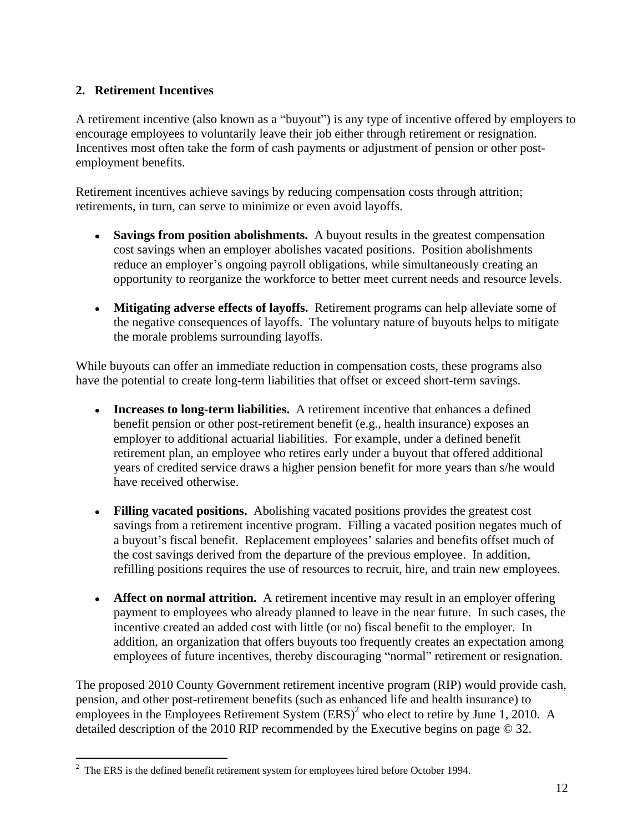## **2. Retirement Incentives**

A retirement incentive (also known as a "buyout") is any type of incentive offered by employers to encourage employees to voluntarily leave their job either through retirement or resignation. Incentives most often take the form of cash payments or adjustment of pension or other post employment benefits.

Retirement incentives achieve savings by reducing compensation costs through attrition; retirements, in turn, can serve to minimize or even avoid layoffs.

- **Savings from position abolishments.** A buyout results in the greatest compensation cost savings when an employer abolishes vacated positions. Position abolishments reduce an employer's ongoing payroll obligations, while simultaneously creating an opportunity to reorganize the workforce to better meet current needs and resource levels.
- **Mitigating adverse effects of layoffs.** Retirement programs can help alleviate some of the negative consequences of layoffs. The voluntary nature of buyouts helps to mitigate the morale problems surrounding layoffs.

While buyouts can offer an immediate reduction in compensation costs, these programs also have the potential to create long-term liabilities that offset or exceed short-term savings.

- **Increases to long-term liabilities.** A retirement incentive that enhances a defined benefit pension or other post-retirement benefit (e.g., health insurance) exposes an employer to additional actuarial liabilities. For example, under a defined benefit retirement plan, an employee who retires early under a buyout that offered additional years of credited service draws a higher pension benefit for more years than s/he would have received otherwise.
- **Filling vacated positions.** Abolishing vacated positions provides the greatest cost savings from a retirement incentive program. Filling a vacated position negates much of a buyout's fiscal benefit. Replacement employees' salaries and benefits offset much of the cost savings derived from the departure of the previous employee. In addition, refilling positions requires the use of resources to recruit, hire, and train new employees.
- **Affect on normal attrition.** A retirement incentive may result in an employer offering payment to employees who already planned to leave in the near future. In such cases, the incentive created an added cost with little (or no) fiscal benefit to the employer. In addition, an organization that offers buyouts too frequently creates an expectation among employees of future incentives, thereby discouraging "normal" retirement or resignation.

The proposed 2010 County Government retirement incentive program (RIP) would provide cash, pension, and other post-retirement benefits (such as enhanced life and health insurance) to employees in the Employees Retirement System  $(ERS)^2$  who elect to retire by June 1, 2010. A detailed description of the 2010 RIP recommended by the Executive begins on page © 32.

<sup>&</sup>lt;sup>2</sup> The ERS is the defined benefit retirement system for employees hired before October 1994.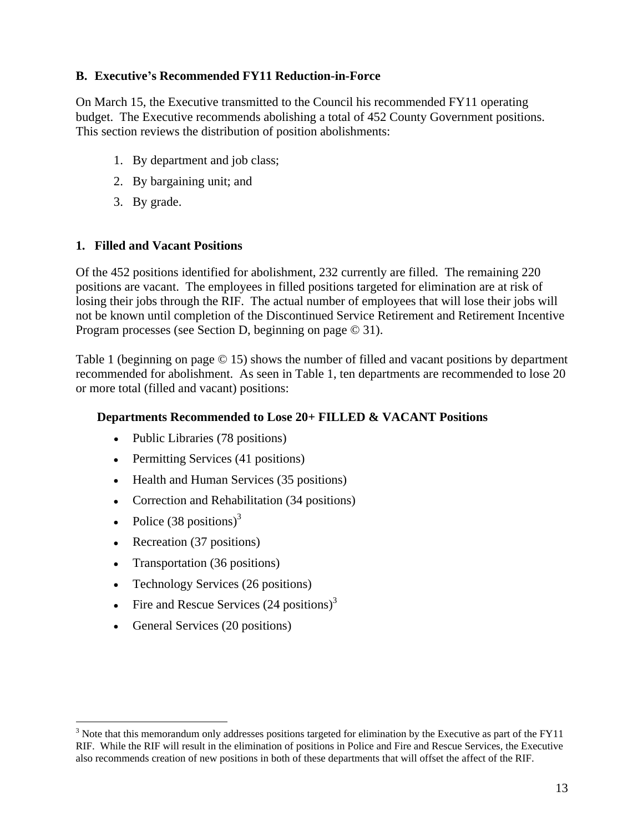### **B. Executive s Recommended FY11 Reduction-in-Force**

On March 15, the Executive transmitted to the Council his recommended FY11 operating budget. The Executive recommends abolishing a total of 452 County Government positions. This section reviews the distribution of position abolishments:

- 1. By department and job class;
- 2. By bargaining unit; and
- 3. By grade.

#### **1. Filled and Vacant Positions**

Of the 452 positions identified for abolishment, 232 currently are filled. The remaining 220 positions are vacant. The employees in filled positions targeted for elimination are at risk of losing their jobs through the RIF. The actual number of employees that will lose their jobs will not be known until completion of the Discontinued Service Retirement and Retirement Incentive Program processes (see Section D, beginning on page © 31).

Table 1 (beginning on page © 15) shows the number of filled and vacant positions by department recommended for abolishment. As seen in Table 1, ten departments are recommended to lose 20 or more total (filled and vacant) positions:

#### **Departments Recommended to Lose 20+ FILLED & VACANT Positions**

- Public Libraries (78 positions)
- Permitting Services (41 positions)
- Health and Human Services (35 positions)
- Correction and Rehabilitation (34 positions)
- Police  $(38 \text{ positions})^3$
- Recreation (37 positions)
- Transportation (36 positions)
- Technology Services (26 positions)
- Fire and Rescue Services  $(24 \text{ positions})^3$
- General Services (20 positions)

<sup>&</sup>lt;sup>3</sup> Note that this memorandum only addresses positions targeted for elimination by the Executive as part of the FY11 RIF. While the RIF will result in the elimination of positions in Police and Fire and Rescue Services, the Executive also recommends creation of new positions in both of these departments that will offset the affect of the RIF.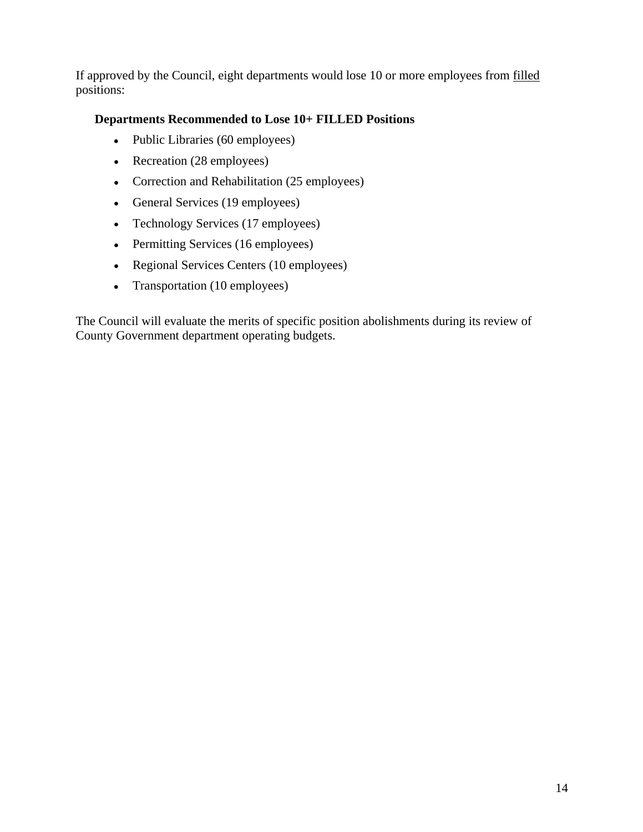If approved by the Council, eight departments would lose 10 or more employees from filled positions: the contract of the contract of the contract of the contract of the contract of the contract of the contract of the contract of the contract of the contract of the contract of the contract of the contract of the

## **Departments Recommended to Lose 10+ FILLED Positions**

- Public Libraries (60 employees)
- Recreation (28 employees)
- Correction and Rehabilitation (25 employees)
- General Services (19 employees)
- Technology Services (17 employees)
- Permitting Services (16 employees)
- Regional Services Centers (10 employees)
- Transportation (10 employees)

The Council will evaluate the merits of specific position abolishments during its review of County Government department operating budgets.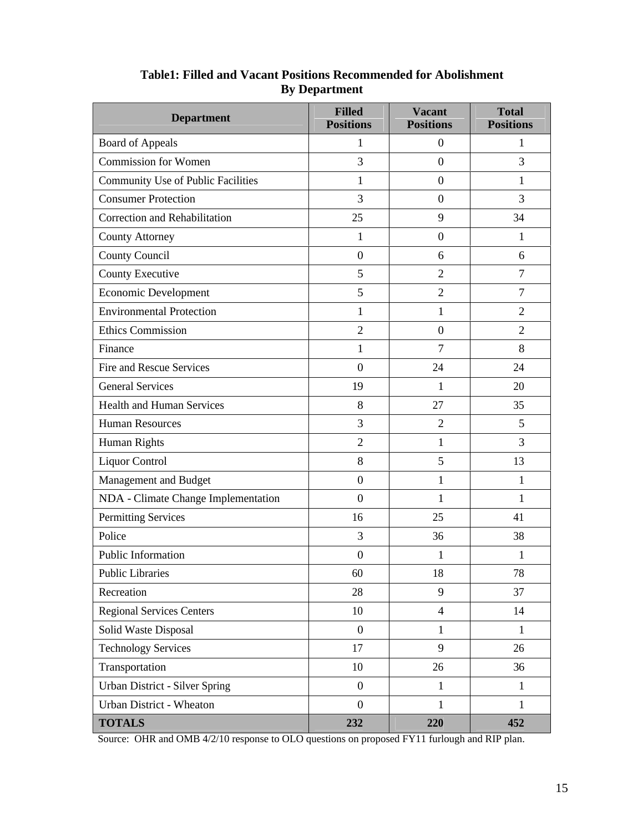| <b>Department</b>                   | <b>Filled</b><br><b>Positions</b> | <b>Vacant</b><br><b>Positions</b> | <b>Total</b><br><b>Positions</b> |
|-------------------------------------|-----------------------------------|-----------------------------------|----------------------------------|
| <b>Board of Appeals</b>             |                                   | $\overline{0}$                    |                                  |
| <b>Commission for Women</b>         | 3                                 | $\overline{0}$                    | $\mathbf{3}$                     |
| Community Use of Public Facilities  |                                   | $\overline{0}$                    |                                  |
| <b>Consumer Protection</b>          | $\overline{3}$                    | $\overline{0}$                    | $\mathfrak{Z}$                   |
| Correction and Rehabilitation       | 25                                | 9                                 | 34                               |
| County Attorney                     |                                   | $\overline{0}$                    |                                  |
| <b>County Council</b>               | $\overline{0}$                    | 6                                 | 6                                |
| County Executive                    | 5 <sup>5</sup>                    | $\overline{2}$                    | $7\overline{ }$                  |
| Economic Development                | 5 <sup>5</sup>                    | $\overline{2}$                    | $7\overline{ }$                  |
| <b>Environmental Protection</b>     |                                   |                                   | $\overline{2}$                   |
| <b>Ethics Commission</b>            | 2                                 | $\overline{0}$                    | $\overline{2}$                   |
| Finance                             |                                   | $7\phantom{.0}$                   | 8                                |
| Fire and Rescue Services            | $\overline{0}$                    | 24                                | 24                               |
| <b>General Services</b>             | 19                                |                                   | 20                               |
| <b>Health and Human Services</b>    | 8                                 | 27                                | 35                               |
| <b>Human Resources</b>              | $\overline{3}$                    | 2                                 | $5\overline{)}$                  |
| Human Rights                        | 2                                 |                                   | $\mathfrak{Z}$                   |
| Liquor Control                      | 8                                 | 5 <sup>5</sup>                    | 13                               |
| Management and Budget               | $\overline{0}$                    |                                   |                                  |
| NDA - Climate Change Implementation | $\overline{0}$                    |                                   |                                  |
| <b>Permitting Services</b>          | 16                                | 25                                | 41                               |
| Police                              | 3                                 | 36                                | 38                               |
| Public Information                  | $\overline{0}$                    |                                   |                                  |
| <b>Public Libraries</b>             | 60                                | 18                                | 78                               |
| Recreation                          | 28                                | 9                                 | 37                               |
| <b>Regional Services Centers</b>    | 10                                | $\overline{4}$                    | 14                               |
| Solid Waste Disposal                | $\overline{0}$                    |                                   |                                  |
| <b>Technology Services</b>          | 17                                | 9                                 | 26                               |
| Transportation                      | 10                                | 26                                | 36                               |
| Urban District - Silver Spring      | $\overline{0}$                    |                                   |                                  |
| Urban District - Wheaton            | $\overline{0}$                    |                                   |                                  |
| <b>TOTALS</b>                       | 232                               | 220                               | 452                              |

## **Table1: Filled and Vacant Positions Recommended for Abolishment By Department**

Source: OHR and OMB 4/2/10 response to OLO questions on proposed FY11 furlough and RIP plan.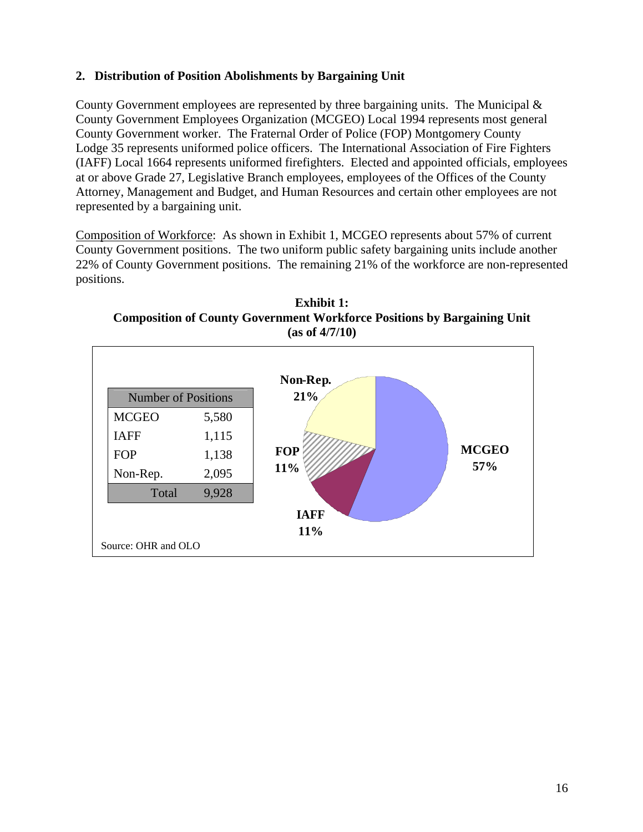## **2. Distribution of Position Abolishments by Bargaining Unit**

County Government employees are represented by three bargaining units. The Municipal & County Government Employees Organization (MCGEO) Local 1994 represents most general County Government worker. The Fraternal Order of Police (FOP) Montgomery County Lodge 35 represents uniformed police officers. The International Association of Fire Fighters (IAFF) Local 1664 represents uniformed firefighters. Elected and appointed officials, employees at or above Grade 27, Legislative Branch employees, employees of the Offices of the County Attorney, Management and Budget, and Human Resources and certain other employees are not represented by a bargaining unit.

Composition of Workforce: As shown in Exhibit 1, MCGEO represents about 57% of current County Government positions. The two uniform public safety bargaining units include another 22% of County Government positions. The remaining 21% of the workforce are non-represented positions.

**Exhibit 1: Composition of County Government Workforce Positions by Bargaining Unit (as of 4/7/10)**

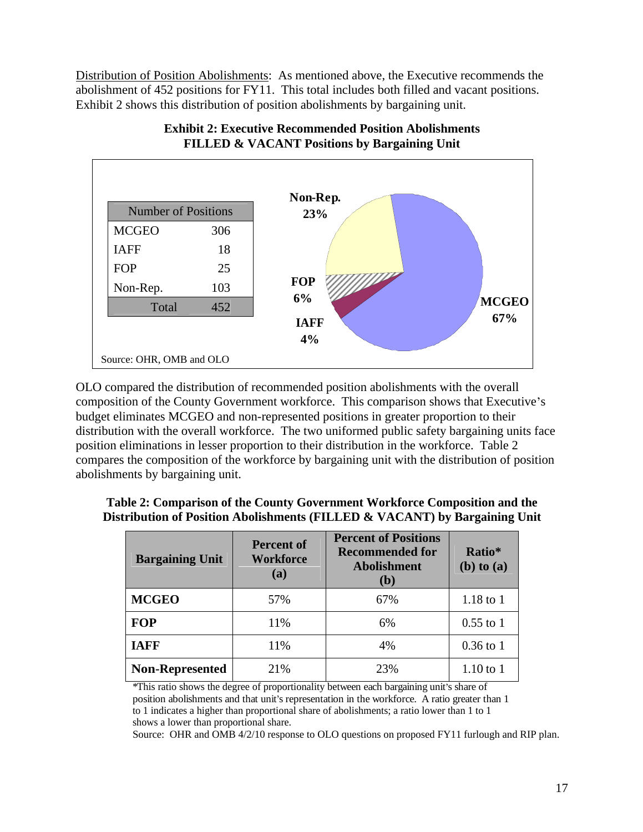Distribution of Position Abolishments: As mentioned above, the Executive recommends the abolishment of 452 positions for FY11. This total includes both filled and vacant positions. Exhibit 2 shows this distribution of position abolishments by bargaining unit.





OLO compared the distribution of recommended position abolishments with the overall composition of the County Government workforce. This comparison shows that Executive's budget eliminates MCGEO and non-represented positions in greater proportion to their distribution with the overall workforce. The two uniformed public safety bargaining units face position eliminations in lesser proportion to their distribution in the workforce. Table 2 compares the composition of the workforce by bargaining unit with the distribution of position abolishments by bargaining unit.

| <b>Bargaining Unit</b> | <b>Percent of</b><br>Workforce<br>(a) | Recommended for<br>Ratio*<br>Abolishment<br>(b) to (a)<br>(b) |             |
|------------------------|---------------------------------------|---------------------------------------------------------------|-------------|
| <b>MCGEO</b>           | 57%                                   | 67%                                                           | 1.18 to 1   |
| FOP                    | 11%                                   | 6%                                                            | $0.55$ to 1 |
| <b>IAFF</b>            | 11%                                   |                                                               | 0.36 to 1   |
| Non-Represented        | 21%                                   | 23%                                                           | $1.10$ to 1 |

**Table 2: Comparison of the County Government Workforce Composition and the Distribution of Position Abolishments (FILLED & VACANT) by Bargaining Unit** 

\*This ratio shows the degree of proportionality between each bargaining unit s share of position abolishments and that unit's representation in the workforce. A ratio greater than 1 to 1 indicates a higher than proportional share of abolishments; a ratio lower than 1 to 1 shows a lower than proportional share.

Source: OHR and OMB 4/2/10 response to OLO questions on proposed FY11 furlough and RIP plan.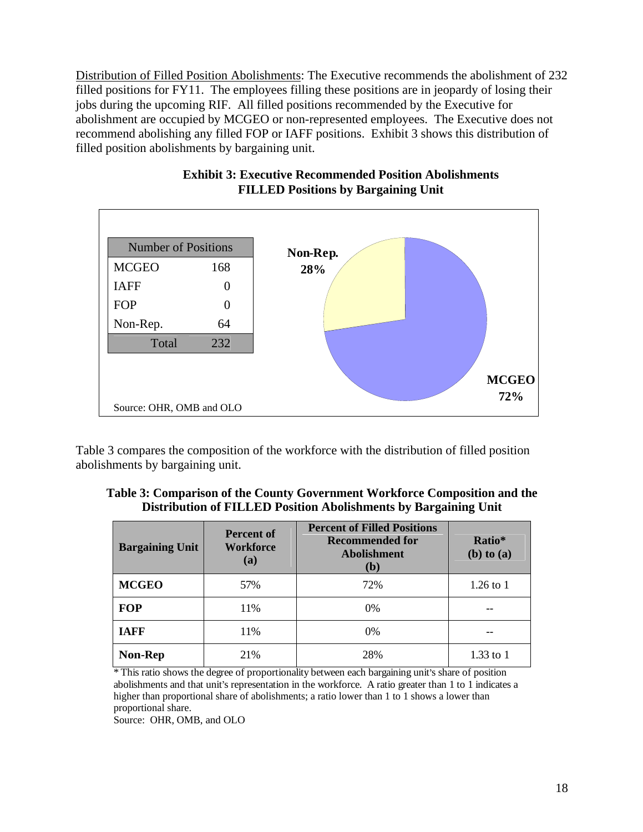Distribution of Filled Position Abolishments: The Executive recommends the abolishment of 232 filled positions for FY11. The employees filling these positions are in jeopardy of losing their jobs during the upcoming RIF. All filled positions recommended by the Executive for abolishment are occupied by MCGEO or non-represented employees. The Executive does not recommend abolishing any filled FOP or IAFF positions. Exhibit 3 shows this distribution of filled position abolishments by bargaining unit.



## **Exhibit 3: Executive Recommended Position Abolishments FILLED Positions by Bargaining Unit**

Table 3 compares the composition of the workforce with the distribution of filled position abolishments by bargaining unit.

| . Government $\mathbf{W}$<br>Fable<br>-the<br>omparison of th<br>vvorktores 1<br>and<br>ountv<br>ASIUO*<br>∪omr             |  |
|-----------------------------------------------------------------------------------------------------------------------------|--|
| ⊷<br>ALED P<br><sup>,</sup> Bargaining l<br>Dıstrıl<br>ushm^<br>lents bv<br>Unıt<br>40SILIOD -<br>. of F<br>`ution_<br>ADOI |  |

| <b>Bargaining Unit</b> | Percent of<br>Workforce<br>(a) | <b>Percent of Filled Positions</b><br><b>Recommended for</b><br>Abolishment | Ratio*<br>$(b)$ to $(a)$ |
|------------------------|--------------------------------|-----------------------------------------------------------------------------|--------------------------|
| <b>MCGEO</b>           | 57%                            | 72%                                                                         | $1.26$ to $1$            |
| <b>FOP</b>             | 11%                            | $0\%$                                                                       | $- -$                    |
| <b>IAFF</b>            | 11%                            | 0%                                                                          | $- - -$                  |
| Non-Rep                | 21%                            | 28%                                                                         | $1.33$ to $1$<br>_______ |

\* This ratio shows the degree of proportionality between each bargaining unit's share of position abolishments and that unit's representation in the workforce. A ratio greater than 1 to 1 indicates a higher than proportional share of abolishments; a ratio lower than 1 to 1 shows a lower than proportional share.

Source: OHR, OMB, and OLO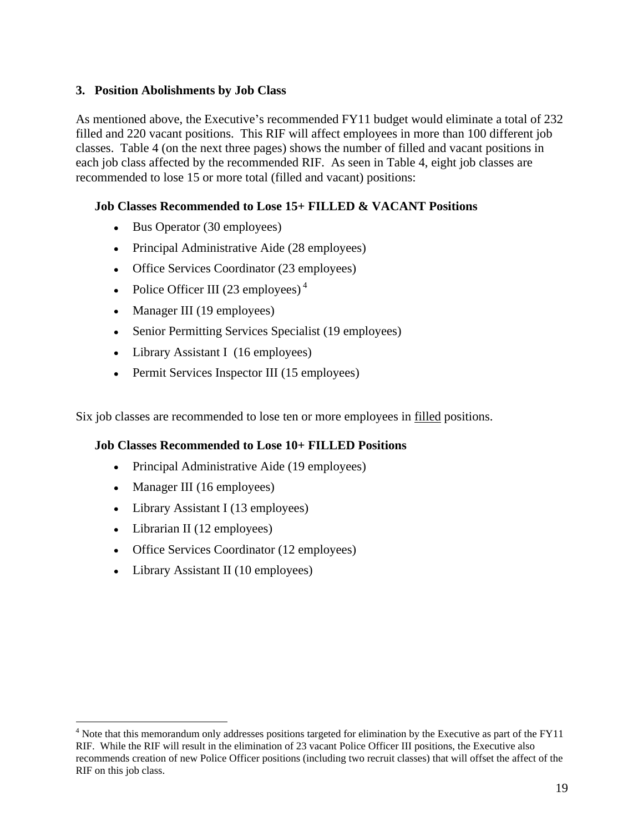### **3. Position Abolishments by Job Class**

As mentioned above, the Executive's recommended  $FY11$  budget would eliminate a total of  $232$ filled and 220 vacant positions. This RIF will affect employees in more than 100 different job classes. Table 4 (on the next three pages) shows the number of filled and vacant positions in each job class affected by the recommended RIF. As seen in Table 4, eight job classes are recommended to lose 15 or more total (filled and vacant) positions:

## **Job Classes Recommended to Lose 15+ FILLED & VACANT Positions**

- Bus Operator (30 employees)
- Principal Administrative Aide (28 employees)
- Office Services Coordinator (23 employees)
- Police Officer III (23 employees)<sup>4</sup>
- Manager III (19 employees)
- Senior Permitting Services Specialist (19 employees)
- Library Assistant I (16 employees)
- Permit Services Inspector III (15 employees)

Six job classes are recommended to lose ten or more employees in filled positions.

#### **Job Classes Recommended to Lose 10+ FILLED Positions**

- Principal Administrative Aide (19 employees)
- Manager III (16 employees)
- Library Assistant I (13 employees)
- Librarian II (12 employees)
- Office Services Coordinator (12 employees)
- Library Assistant II (10 employees)

<sup>&</sup>lt;sup>4</sup> Note that this memorandum only addresses positions targeted for elimination by the Executive as part of the FY11 RIF. While the RIF will result in the elimination of 23 vacant Police Officer III positions, the Executive also recommends creation of new Police Officer positions (including two recruit classes) that will offset the affect of the RIF on this job class.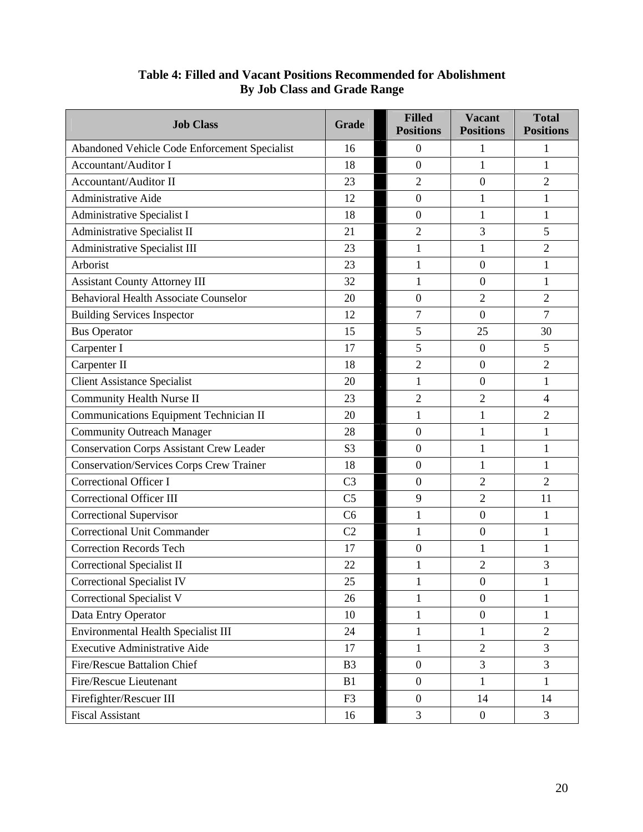| Abandoned Vehicle Code Enforcement Specialist<br>16<br>18<br>Accountant/Auditor I<br>23<br>Accountant/Auditor II<br>$\Omega$<br>$\bigcap$<br>Administrative Aide<br>12<br>Administrative Specialist I<br>18<br>Administrative Specialist II<br>21<br>Administrative Specialist III<br>23<br>$\bigcap$<br>Arborist<br>23<br>$\Omega$<br><b>Assistant County Attorney III</b><br>32<br>$\Omega$<br>Behavioral Health Associate Counselor<br>20<br>$\bigcap$<br>$\bigcap$<br><b>Building Services Inspector</b><br>12<br>$\overline{ }$<br>$\Omega$<br>25<br>30<br><b>Bus Operator</b><br>15<br>17<br>$\Omega$<br>Carpenter II<br>18<br>$\Omega$<br>$\gamma$<br><b>Client Assistance Specialist</b><br>20<br>$\Omega$<br>Community Health Nurse II<br>23<br>$\bigcap$<br>Communications Equipment Technician II<br>20<br>$\bigcap$<br>Community Outreach Manager<br>28<br>Conservation Corps Assistant Crew Leader<br>S <sub>3</sub><br>Conservation/Services Corps Crew Trainer<br>18<br>Correctional Officer I<br>C <sub>3</sub><br>2<br>2<br>Correctional Officer III<br>C <sub>5</sub><br>$\bigcap$<br>11<br>Correctional Supervisor<br>C6<br>$\Omega$<br>Correctional Unit Commander<br>C2<br>$\Omega$<br>Correction Records Tech<br>17<br>22<br>Correctional Specialist II<br>$\bigcap$<br>25<br>$\overline{0}$<br>26<br>$\overline{0}$<br>Data Entry Operator<br>10<br>$\Omega$<br>Environmental Health Specialist III<br>24<br>2<br>Executive Administrative Aide<br>17<br>$\bigcap$<br>$\overline{3}$<br><b>B3</b><br>$\mathcal{R}$<br>$\overline{3}$<br>Fire/Rescue Lieutenant<br>B1<br>Firefighter/Rescuer III<br>F3<br>14<br>14 | <b>Job Class</b>        | Grade | <b>Filled</b><br><b>Positions</b> | <b>Vacant</b><br><b>Positions</b> | <b>Total</b><br><b>Positions</b> |
|------------------------------------------------------------------------------------------------------------------------------------------------------------------------------------------------------------------------------------------------------------------------------------------------------------------------------------------------------------------------------------------------------------------------------------------------------------------------------------------------------------------------------------------------------------------------------------------------------------------------------------------------------------------------------------------------------------------------------------------------------------------------------------------------------------------------------------------------------------------------------------------------------------------------------------------------------------------------------------------------------------------------------------------------------------------------------------------------------------------------------------------------------------------------------------------------------------------------------------------------------------------------------------------------------------------------------------------------------------------------------------------------------------------------------------------------------------------------------------------------------------------------------------------------------------------------------------------------------------------------------------------|-------------------------|-------|-----------------------------------|-----------------------------------|----------------------------------|
|                                                                                                                                                                                                                                                                                                                                                                                                                                                                                                                                                                                                                                                                                                                                                                                                                                                                                                                                                                                                                                                                                                                                                                                                                                                                                                                                                                                                                                                                                                                                                                                                                                          |                         |       |                                   |                                   |                                  |
|                                                                                                                                                                                                                                                                                                                                                                                                                                                                                                                                                                                                                                                                                                                                                                                                                                                                                                                                                                                                                                                                                                                                                                                                                                                                                                                                                                                                                                                                                                                                                                                                                                          |                         |       |                                   |                                   |                                  |
|                                                                                                                                                                                                                                                                                                                                                                                                                                                                                                                                                                                                                                                                                                                                                                                                                                                                                                                                                                                                                                                                                                                                                                                                                                                                                                                                                                                                                                                                                                                                                                                                                                          |                         |       |                                   |                                   |                                  |
|                                                                                                                                                                                                                                                                                                                                                                                                                                                                                                                                                                                                                                                                                                                                                                                                                                                                                                                                                                                                                                                                                                                                                                                                                                                                                                                                                                                                                                                                                                                                                                                                                                          |                         |       |                                   |                                   |                                  |
|                                                                                                                                                                                                                                                                                                                                                                                                                                                                                                                                                                                                                                                                                                                                                                                                                                                                                                                                                                                                                                                                                                                                                                                                                                                                                                                                                                                                                                                                                                                                                                                                                                          |                         |       |                                   |                                   |                                  |
|                                                                                                                                                                                                                                                                                                                                                                                                                                                                                                                                                                                                                                                                                                                                                                                                                                                                                                                                                                                                                                                                                                                                                                                                                                                                                                                                                                                                                                                                                                                                                                                                                                          |                         |       |                                   |                                   |                                  |
|                                                                                                                                                                                                                                                                                                                                                                                                                                                                                                                                                                                                                                                                                                                                                                                                                                                                                                                                                                                                                                                                                                                                                                                                                                                                                                                                                                                                                                                                                                                                                                                                                                          |                         |       |                                   |                                   |                                  |
|                                                                                                                                                                                                                                                                                                                                                                                                                                                                                                                                                                                                                                                                                                                                                                                                                                                                                                                                                                                                                                                                                                                                                                                                                                                                                                                                                                                                                                                                                                                                                                                                                                          |                         |       |                                   |                                   |                                  |
|                                                                                                                                                                                                                                                                                                                                                                                                                                                                                                                                                                                                                                                                                                                                                                                                                                                                                                                                                                                                                                                                                                                                                                                                                                                                                                                                                                                                                                                                                                                                                                                                                                          |                         |       |                                   |                                   |                                  |
|                                                                                                                                                                                                                                                                                                                                                                                                                                                                                                                                                                                                                                                                                                                                                                                                                                                                                                                                                                                                                                                                                                                                                                                                                                                                                                                                                                                                                                                                                                                                                                                                                                          |                         |       |                                   |                                   |                                  |
|                                                                                                                                                                                                                                                                                                                                                                                                                                                                                                                                                                                                                                                                                                                                                                                                                                                                                                                                                                                                                                                                                                                                                                                                                                                                                                                                                                                                                                                                                                                                                                                                                                          |                         |       |                                   |                                   |                                  |
| Carpenter I                                                                                                                                                                                                                                                                                                                                                                                                                                                                                                                                                                                                                                                                                                                                                                                                                                                                                                                                                                                                                                                                                                                                                                                                                                                                                                                                                                                                                                                                                                                                                                                                                              |                         |       |                                   |                                   |                                  |
|                                                                                                                                                                                                                                                                                                                                                                                                                                                                                                                                                                                                                                                                                                                                                                                                                                                                                                                                                                                                                                                                                                                                                                                                                                                                                                                                                                                                                                                                                                                                                                                                                                          |                         |       |                                   |                                   |                                  |
|                                                                                                                                                                                                                                                                                                                                                                                                                                                                                                                                                                                                                                                                                                                                                                                                                                                                                                                                                                                                                                                                                                                                                                                                                                                                                                                                                                                                                                                                                                                                                                                                                                          |                         |       |                                   |                                   |                                  |
|                                                                                                                                                                                                                                                                                                                                                                                                                                                                                                                                                                                                                                                                                                                                                                                                                                                                                                                                                                                                                                                                                                                                                                                                                                                                                                                                                                                                                                                                                                                                                                                                                                          |                         |       |                                   |                                   |                                  |
| Correctional Specialist IV<br>Correctional Specialist V<br>Fire/Rescue Battalion Chief                                                                                                                                                                                                                                                                                                                                                                                                                                                                                                                                                                                                                                                                                                                                                                                                                                                                                                                                                                                                                                                                                                                                                                                                                                                                                                                                                                                                                                                                                                                                                   |                         |       |                                   |                                   |                                  |
|                                                                                                                                                                                                                                                                                                                                                                                                                                                                                                                                                                                                                                                                                                                                                                                                                                                                                                                                                                                                                                                                                                                                                                                                                                                                                                                                                                                                                                                                                                                                                                                                                                          |                         |       |                                   |                                   |                                  |
|                                                                                                                                                                                                                                                                                                                                                                                                                                                                                                                                                                                                                                                                                                                                                                                                                                                                                                                                                                                                                                                                                                                                                                                                                                                                                                                                                                                                                                                                                                                                                                                                                                          |                         |       |                                   |                                   |                                  |
|                                                                                                                                                                                                                                                                                                                                                                                                                                                                                                                                                                                                                                                                                                                                                                                                                                                                                                                                                                                                                                                                                                                                                                                                                                                                                                                                                                                                                                                                                                                                                                                                                                          |                         |       |                                   |                                   |                                  |
|                                                                                                                                                                                                                                                                                                                                                                                                                                                                                                                                                                                                                                                                                                                                                                                                                                                                                                                                                                                                                                                                                                                                                                                                                                                                                                                                                                                                                                                                                                                                                                                                                                          |                         |       |                                   |                                   |                                  |
|                                                                                                                                                                                                                                                                                                                                                                                                                                                                                                                                                                                                                                                                                                                                                                                                                                                                                                                                                                                                                                                                                                                                                                                                                                                                                                                                                                                                                                                                                                                                                                                                                                          |                         |       |                                   |                                   |                                  |
|                                                                                                                                                                                                                                                                                                                                                                                                                                                                                                                                                                                                                                                                                                                                                                                                                                                                                                                                                                                                                                                                                                                                                                                                                                                                                                                                                                                                                                                                                                                                                                                                                                          |                         |       |                                   |                                   |                                  |
|                                                                                                                                                                                                                                                                                                                                                                                                                                                                                                                                                                                                                                                                                                                                                                                                                                                                                                                                                                                                                                                                                                                                                                                                                                                                                                                                                                                                                                                                                                                                                                                                                                          |                         |       |                                   |                                   |                                  |
|                                                                                                                                                                                                                                                                                                                                                                                                                                                                                                                                                                                                                                                                                                                                                                                                                                                                                                                                                                                                                                                                                                                                                                                                                                                                                                                                                                                                                                                                                                                                                                                                                                          |                         |       |                                   |                                   |                                  |
|                                                                                                                                                                                                                                                                                                                                                                                                                                                                                                                                                                                                                                                                                                                                                                                                                                                                                                                                                                                                                                                                                                                                                                                                                                                                                                                                                                                                                                                                                                                                                                                                                                          |                         |       |                                   |                                   |                                  |
|                                                                                                                                                                                                                                                                                                                                                                                                                                                                                                                                                                                                                                                                                                                                                                                                                                                                                                                                                                                                                                                                                                                                                                                                                                                                                                                                                                                                                                                                                                                                                                                                                                          |                         |       |                                   |                                   |                                  |
|                                                                                                                                                                                                                                                                                                                                                                                                                                                                                                                                                                                                                                                                                                                                                                                                                                                                                                                                                                                                                                                                                                                                                                                                                                                                                                                                                                                                                                                                                                                                                                                                                                          |                         |       |                                   |                                   |                                  |
|                                                                                                                                                                                                                                                                                                                                                                                                                                                                                                                                                                                                                                                                                                                                                                                                                                                                                                                                                                                                                                                                                                                                                                                                                                                                                                                                                                                                                                                                                                                                                                                                                                          |                         |       |                                   |                                   |                                  |
|                                                                                                                                                                                                                                                                                                                                                                                                                                                                                                                                                                                                                                                                                                                                                                                                                                                                                                                                                                                                                                                                                                                                                                                                                                                                                                                                                                                                                                                                                                                                                                                                                                          |                         |       |                                   |                                   |                                  |
|                                                                                                                                                                                                                                                                                                                                                                                                                                                                                                                                                                                                                                                                                                                                                                                                                                                                                                                                                                                                                                                                                                                                                                                                                                                                                                                                                                                                                                                                                                                                                                                                                                          |                         |       |                                   |                                   |                                  |
|                                                                                                                                                                                                                                                                                                                                                                                                                                                                                                                                                                                                                                                                                                                                                                                                                                                                                                                                                                                                                                                                                                                                                                                                                                                                                                                                                                                                                                                                                                                                                                                                                                          |                         |       |                                   |                                   |                                  |
|                                                                                                                                                                                                                                                                                                                                                                                                                                                                                                                                                                                                                                                                                                                                                                                                                                                                                                                                                                                                                                                                                                                                                                                                                                                                                                                                                                                                                                                                                                                                                                                                                                          |                         |       |                                   |                                   |                                  |
|                                                                                                                                                                                                                                                                                                                                                                                                                                                                                                                                                                                                                                                                                                                                                                                                                                                                                                                                                                                                                                                                                                                                                                                                                                                                                                                                                                                                                                                                                                                                                                                                                                          |                         |       |                                   |                                   |                                  |
|                                                                                                                                                                                                                                                                                                                                                                                                                                                                                                                                                                                                                                                                                                                                                                                                                                                                                                                                                                                                                                                                                                                                                                                                                                                                                                                                                                                                                                                                                                                                                                                                                                          |                         |       |                                   |                                   |                                  |
|                                                                                                                                                                                                                                                                                                                                                                                                                                                                                                                                                                                                                                                                                                                                                                                                                                                                                                                                                                                                                                                                                                                                                                                                                                                                                                                                                                                                                                                                                                                                                                                                                                          | <b>Fiscal Assistant</b> | 16    |                                   | $\Omega$                          | $\mathcal{E}$                    |

# **Table 4: Filled and Vacant Positions Recommended for Abolishment By Job Class and Grade Range**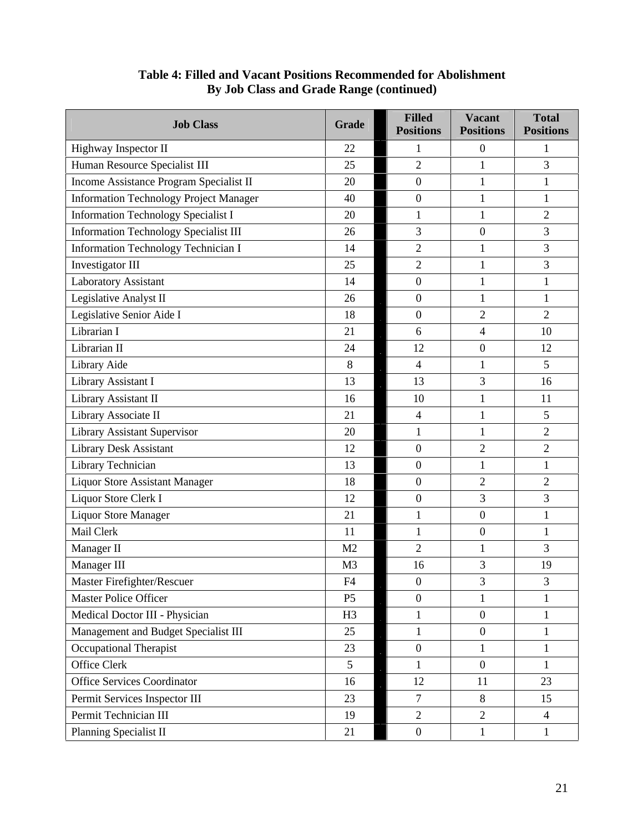| <b>Job Class</b>                        | Grade          | <b>Filled</b><br><b>Positions</b> | <b>Vacant</b><br><b>Positions</b> | <b>Total</b><br><b>Positions</b> |
|-----------------------------------------|----------------|-----------------------------------|-----------------------------------|----------------------------------|
| Highway Inspector II                    | 22             |                                   | $\Omega$                          |                                  |
| Human Resource Specialist III           | 25             | $\Omega$                          |                                   | $\mathbf{r}$                     |
| Income Assistance Program Specialist II | $20\,$         |                                   |                                   |                                  |
| Information Technology Project Manager  | 40             |                                   |                                   |                                  |
| Information Technology Specialist I     | 20             |                                   |                                   | $\gamma$                         |
| Information Technology Specialist III   | 26             |                                   | $\theta$                          | $\mathbf{r}$                     |
| Information Technology Technician I     | 14             | $\gamma$                          |                                   | $\mathcal{R}$                    |
| Investigator III                        | 25             | $\mathcal{D}$                     |                                   | $\mathcal{R}$                    |
| Laboratory Assistant                    | 14             |                                   |                                   |                                  |
| Legislative Analyst II                  | 26             |                                   |                                   |                                  |
| Legislative Senior Aide I               | 18             |                                   | 2                                 | $\gamma$                         |
| Librarian I                             | 21             |                                   |                                   | 10                               |
| Librarian II                            | 24             | 12                                | $\overline{0}$                    | 12                               |
| Library Aide                            | 8              |                                   |                                   | 5 <sup>5</sup>                   |
| Library Assistant I                     | 13             | 13                                | $\mathbf{c}$                      | 16                               |
| Library Assistant II                    | 16             | 10                                |                                   | 11                               |
| Library Associate II                    | 21             |                                   |                                   | 5 <sup>5</sup>                   |
| <b>Library Assistant Supervisor</b>     | 20             |                                   |                                   | 2                                |
| Library Desk Assistant                  | 12             |                                   | $\gamma$                          | $\gamma$                         |
| Library Technician                      | 13             |                                   |                                   |                                  |
| Liquor Store Assistant Manager          | 18             | $\Omega$                          | $\gamma$                          | $\gamma$                         |
| Liquor Store Clerk I                    | 12             |                                   | $\mathcal{R}$                     | $\mathcal{L}$                    |
| Liquor Store Manager                    | 21             |                                   | $\Omega$                          |                                  |
| Mail Clerk                              | 11             |                                   | $\theta$                          |                                  |
| Manager II                              | M <sub>2</sub> | $\Omega$                          |                                   | $\mathcal{R}$                    |
| Manager III                             | M3             | 16                                |                                   | 19                               |
| Master Firefighter/Rescuer              | F4             | $\overline{0}$                    | $\mathfrak{Z}$                    | $\mathbf{3}$                     |
| Master Police Officer                   | P5             |                                   |                                   |                                  |
| Medical Doctor III - Physician          | H3             |                                   | $\Omega$                          |                                  |
| Management and Budget Specialist III    | 25             |                                   | $\Omega$                          |                                  |
| <b>Occupational Therapist</b>           | 23             |                                   |                                   |                                  |
| Office Clerk                            | $\sim$         |                                   | $\Omega$                          |                                  |
| Office Services Coordinator             | 16             | 12                                | 11                                | 23                               |
| Permit Services Inspector III           | 23             |                                   | 8                                 | 15                               |
| Permit Technician III                   | 19             | $\overline{2}$                    | 2                                 |                                  |
| Planning Specialist II                  | 21             |                                   |                                   |                                  |

# **Table 4: Filled and Vacant Positions Recommended for Abolishment By Job Class and Grade Range (continued)**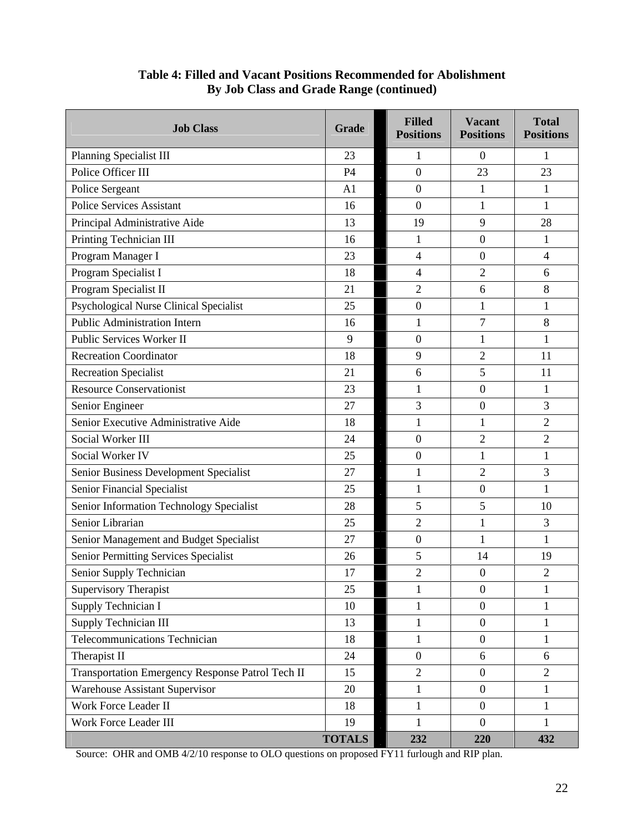| <b>Job Class</b>                                 | Grade         | <b>Filled</b><br><b>Positions</b> | Vacant<br><b>Positions</b> | <b>Total</b><br><b>Positions</b> |
|--------------------------------------------------|---------------|-----------------------------------|----------------------------|----------------------------------|
| Planning Specialist III                          | 23            |                                   | $\theta$                   |                                  |
| Police Officer III                               | P4            | $\overline{0}$                    | 23                         | 23                               |
| Police Sergeant                                  | A1            | $\overline{0}$                    |                            |                                  |
| Police Services Assistant                        | 16            | $\Omega$                          |                            |                                  |
| Principal Administrative Aide                    | 13            | 19                                | $\Omega$                   | 28                               |
| Printing Technician III                          | 16            |                                   | $\Omega$                   |                                  |
| Program Manager I                                | 23            | $\Delta$                          | $\Omega$                   | $\overline{4}$                   |
| Program Specialist I                             | 18            |                                   | $\bigcap$                  |                                  |
| Program Specialist II                            | 21            | $\gamma$                          |                            |                                  |
| <b>Psychological Nurse Clinical Specialist</b>   | 25            | $\overline{0}$                    |                            |                                  |
| Public Administration Intern                     | 16            |                                   | $\overline{ }$             |                                  |
| Public Services Worker II                        | $\Omega$      | $\Omega$                          |                            |                                  |
| <b>Recreation Coordinator</b>                    | 18            | $\Omega$                          | $\bigcap$                  | 11                               |
| Recreation Specialist                            | 21            | 6                                 | $\leq$                     | 11                               |
| <b>Resource Conservationist</b>                  | 23            |                                   | $\Omega$                   |                                  |
| Senior Engineer                                  | 27            | $\overline{2}$                    |                            | $\mathcal{L}$                    |
| Senior Executive Administrative Aide             | 18            |                                   |                            | $\gamma$                         |
| Social Worker III                                | 24            | $\Omega$                          | $\bigcap$                  | $\gamma$                         |
| Social Worker IV                                 | 25            | $\Omega$                          |                            |                                  |
| Senior Business Development Specialist           | 27            |                                   | $\gamma$                   | $\mathbf{r}$                     |
| Senior Financial Specialist                      | 25            |                                   | $\Omega$                   |                                  |
| Senior Information Technology Specialist         | 28            | $\leq$                            |                            | 10                               |
| Senior Librarian                                 | 25            | 2                                 |                            | $\mathcal{R}$                    |
| Senior Management and Budget Specialist          | 27            | $\overline{0}$                    |                            |                                  |
| Senior Permitting Services Specialist            | 26            | $\leq$                            | 14                         | 19                               |
| Senior Supply Technician                         | 17            | $\Omega$                          | $\Omega$                   | $\bigcap$                        |
| Supervisory Therapist                            | 25            |                                   | $\Omega$                   |                                  |
| Supply Technician I                              | 10            |                                   | $\Omega$                   |                                  |
| Supply Technician III                            | 13            |                                   | $\Omega$                   |                                  |
| Telecommunications Technician                    | 18            |                                   | $\Omega$                   |                                  |
| Therapist II                                     | 24            | $\Omega$                          |                            | -6                               |
| Transportation Emergency Response Patrol Tech II | 15            | 2                                 | $\Omega$                   | 2                                |
| Warehouse Assistant Supervisor                   | 20            |                                   | $\theta$                   |                                  |
| Work Force Leader II                             | 18            |                                   | $\Omega$                   |                                  |
| Work Force Leader III                            | 19            |                                   | $\Omega$                   |                                  |
|                                                  | <b>TOTALS</b> | 232                               | 220                        | 432                              |

## **Table 4: Filled and Vacant Positions Recommended for Abolishment By Job Class and Grade Range (continued)**

Source: OHR and OMB 4/2/10 response to OLO questions on proposed FY11 furlough and RIP plan.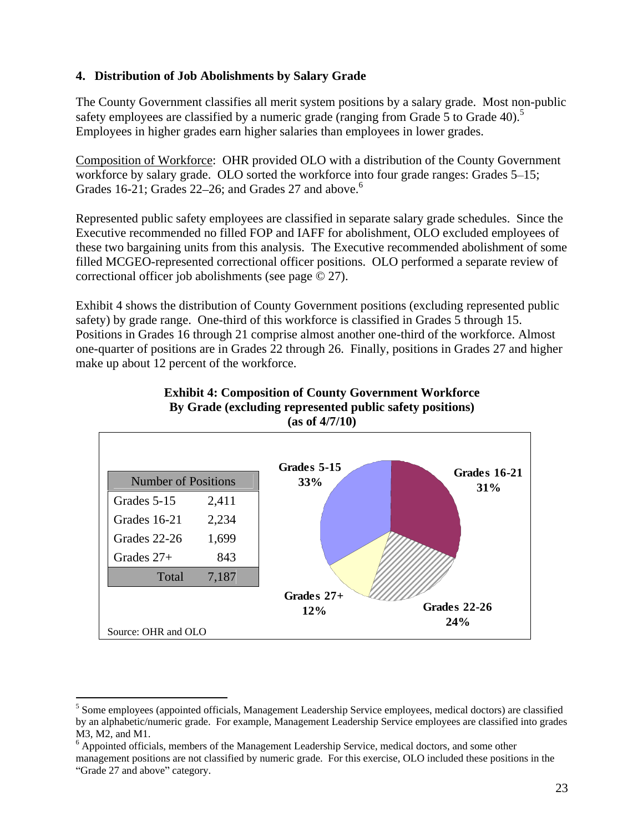## **4. Distribution of Job Abolishments by Salary Grade**

The County Government classifies all merit system positions by a salary grade. Most non-public safety employees are classified by a numeric grade (ranging from Grade 5 to Grade 40).<sup>5</sup> Employees in higher grades earn higher salaries than employees in lower grades.

Composition of Workforce: OHR provided OLO with a distribution of the County Government workforce by salary grade. OLO sorted the workforce into four grade ranges: Grades 5–15; Grades 16-21; Grades  $22-26$ ; and Grades 27 and above.<sup>6</sup>

Represented public safety employees are classified in separate salary grade schedules. Since the Executive recommended no filled FOP and IAFF for abolishment, OLO excluded employees of these two bargaining units from this analysis. The Executive recommended abolishment of some filled MCGEO-represented correctional officer positions. OLO performed a separate review of correctional officer job abolishments (see page © 27).

Exhibit 4 shows the distribution of County Government positions (excluding represented public safety) by grade range. One-third of this workforce is classified in Grades 5 through 15. Positions in Grades 16 through 21 comprise almost another one-third of the workforce. Almost one-quarter of positions are in Grades 22 through 26. Finally, positions in Grades 27 and higher make up about 12 percent of the workforce.





management positions are not classified by numeric grade. For this exercise, OLO included these positions in the Grade 27 and above" category. The category of the category of  $\alpha$  and  $\alpha$  are category.

<sup>&</sup>lt;sup>5</sup> Some employees (appointed officials, Management Leadership Service employees, medical doctors) are classified by an alphabetic/numeric grade. For example, Management Leadership Service employees are classified into grades M3, M2, and M1.<br><sup>6</sup> Appointed officials, members of the Management Leadership Service, medical doctors, and some other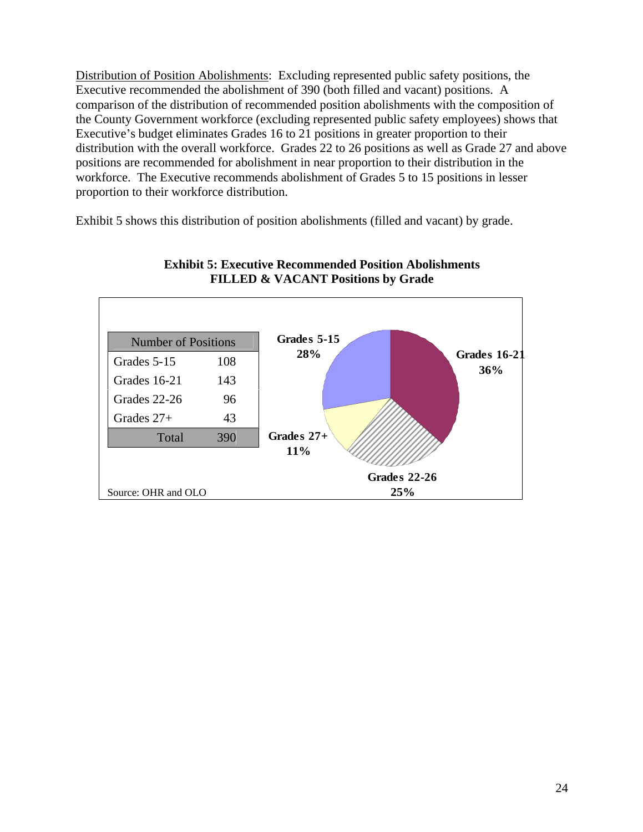Distribution of Position Abolishments: Excluding represented public safety positions, the Executive recommended the abolishment of 390 (both filled and vacant) positions. A comparison of the distribution of recommended position abolishments with the composition of the County Government workforce (excluding represented public safety employees) shows that Executive's budget eliminates Grades 16 to 21 positions in greater proportion to their distribution with the overall workforce. Grades 22 to 26 positions as well as Grade 27 and above positions are recommended for abolishment in near proportion to their distribution in the workforce. The Executive recommends abolishment of Grades 5 to 15 positions in lesser proportion to their workforce distribution.

Exhibit 5 shows this distribution of position abolishments (filled and vacant) by grade.



#### **Exhibit 5: Executive Recommended Position Abolishments FILLED & VACANT Positions by Grade**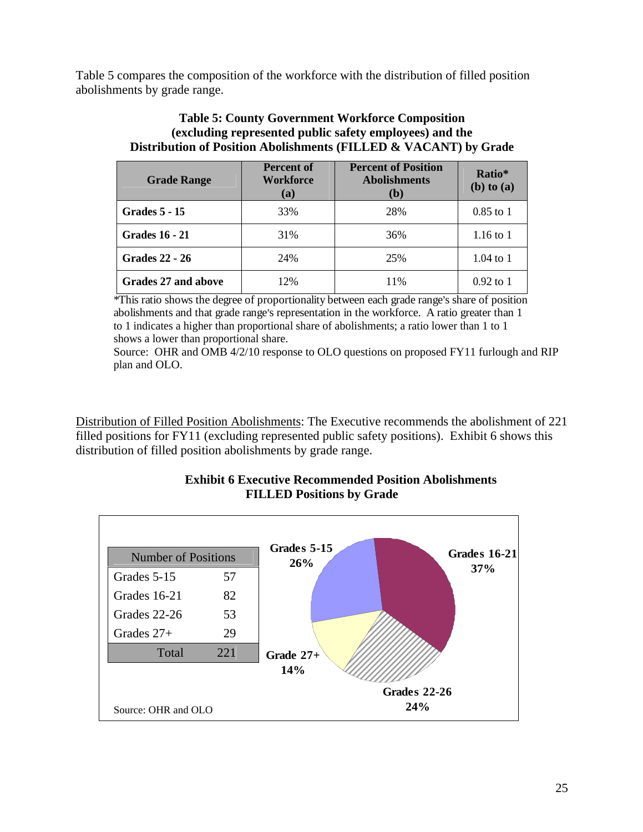Table 5 compares the composition of the workforce with the distribution of filled position abolishments by grade range.

## **Table 5: County Government Workforce Composition (excluding represented public safety employees) and the Distribution of Position Abolishments (FILLED & VACANT) by Grade**

| <b>Grade Range</b>         | <b>Percent of</b><br>Workforce<br>(a) | <b>Percent of Position</b><br><b>Abolishments</b><br>(h) | Ratio*<br>(b) to (a) |
|----------------------------|---------------------------------------|----------------------------------------------------------|----------------------|
| <b>Grades 5 - 15</b>       | 33%                                   | 28%                                                      | 0.85 to 1            |
| <b>Grades 16 - 21</b>      | 31%                                   | 36%                                                      | $1.16$ to 1          |
| <b>Grades 22 - 26</b>      | 24%                                   | 25%                                                      | 1.04 to 1            |
| <b>Grades 27 and above</b> | 12%                                   | 11%                                                      | $0.92$ to 1          |

\*This ratio shows the degree of proportionality between each grade range's share of position abolishments and that grade range's representation in the workforce. A ratio greater than 1 to 1 indicates a higher than proportional share of abolishments; a ratio lower than 1 to 1 shows a lower than proportional share.

Source: OHR and OMB 4/2/10 response to OLO questions on proposed FY11 furlough and RIP plan and OLO.

Distribution of Filled Position Abolishments: The Executive recommends the abolishment of 221 filled positions for FY11 (excluding represented public safety positions). Exhibit 6 shows this distribution of filled position abolishments by grade range.

#### **Exhibit 6 Executive Recommended Position Abolishments FILLED Positions by Grade**

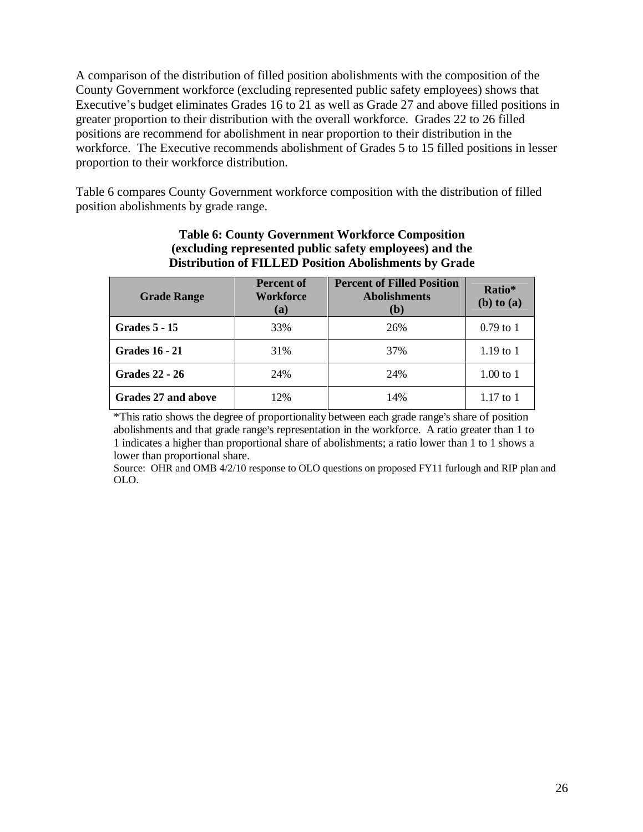A comparison of the distribution of filled position abolishments with the composition of the County Government workforce (excluding represented public safety employees) shows that Executive's budget eliminates Grades 16 to 21 as well as Grade 27 and above filled positions in greater proportion to their distribution with the overall workforce. Grades 22 to 26 filled positions are recommend for abolishment in near proportion to their distribution in the workforce. The Executive recommends abolishment of Grades 5 to 15 filled positions in lesser proportion to their workforce distribution.

Table 6 compares County Government workforce composition with the distribution of filled position abolishments by grade range.

| <b>Grade Range</b>    | <b>Percent of</b><br>Workforce<br>(a) | <b>Percent of Filled Position</b><br><b>Abolishments</b> | Ratio*<br>(b) to (a) |
|-----------------------|---------------------------------------|----------------------------------------------------------|----------------------|
| <b>Grades 5 - 15</b>  | 33%                                   |                                                          | $0.79$ to $1$        |
| <b>Grades 16 - 21</b> | 31%                                   |                                                          | $1.19$ to $1$        |
| <b>Grades 22 - 26</b> | 24%                                   | 240/                                                     | $1.00$ to $1$        |
| Grades 27 and above   | 12%                                   | 14%                                                      | $1.17$ to $1$        |

#### **Table 6: County Government Workforce Composition (excluding represented public safety employees) and the Distribution of FILLED Position Abolishments by Grade**

\*This ratio shows the degree of proportionality between each grade range's share of position abolishments and that grade range's representation in the workforce. A ratio greater than 1 to 1 indicates a higher than proportional share of abolishments; a ratio lower than 1 to 1 shows a lower than proportional share.

Source: OHR and OMB 4/2/10 response to OLO questions on proposed FY11 furlough and RIP plan and OLO.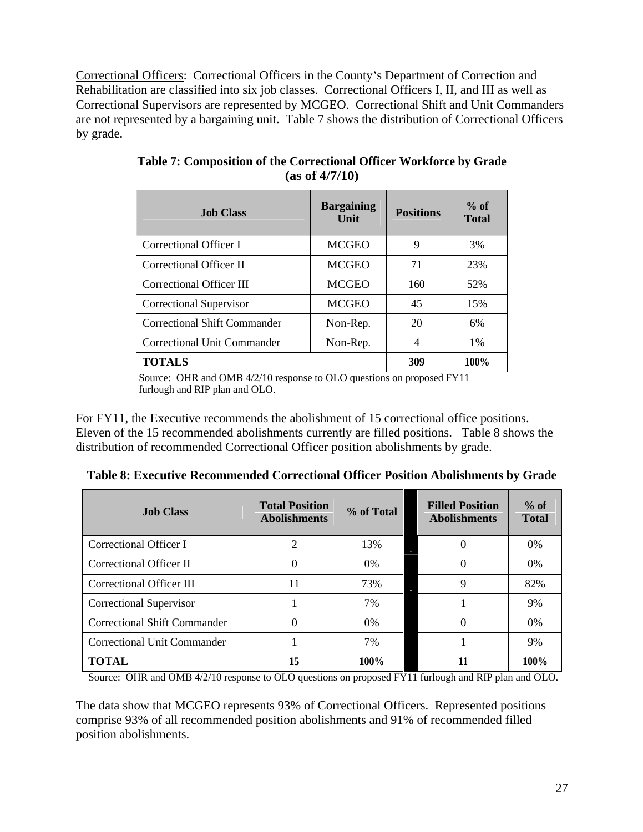Correctional Officers: Correctional Officers in the County s Department of Correction and Rehabilitation are classified into six job classes. Correctional Officers I, II, and III as well as Correctional Supervisors are represented by MCGEO. Correctional Shift and Unit Commanders are not represented by a bargaining unit. Table 7 shows the distribution of Correctional Officers by grade.

| <b>Job Class</b>                    | <b>Example 3</b> Bargaining Positions Total |                    |         |
|-------------------------------------|---------------------------------------------|--------------------|---------|
| Correctional Officer I              | <b>MCGEO</b>                                |                    | 3%      |
| Correctional Officer II             | <b>MCGEO</b>                                | 71<br>$\mathbf{1}$ | 23%     |
| Correctional Officer III            | MCGEO                                       | 160                | 52%     |
| <b>Correctional Supervisor</b>      | MCGEO                                       | 45                 | 15%     |
| <b>Correctional Shift Commander</b> | Non-Rep.                                    | 20                 | 6%      |
| <b>Correctional Unit Commander</b>  | Non-Rep.                                    |                    | 1%      |
| <b>TOTALS</b>                       |                                             | 309                | $100\%$ |

**Table 7: Composition of the Correctional Officer Workforce by Grade (as of 4/7/10)**

Source: OHR and OMB 4/2/10 response to OLO questions on proposed FY11 furlough and RIP plan and OLO.

For FY11, the Executive recommends the abolishment of 15 correctional office positions. Eleven of the 15 recommended abolishments currently are filled positions. Table 8 shows the distribution of recommended Correctional Officer position abolishments by grade.

| <b>Job Class</b>             |         | Total Position % of Total Filled Position % of Abolishments 4.6 abolishments 8.6 abolishments 8.6 abolishments 8.6 abolishments 8.6 abolishments 8.6 abolishments 8.6 abolishments 8.6 abolishments 8.6 abolishments 8.6 aboli |         |
|------------------------------|---------|--------------------------------------------------------------------------------------------------------------------------------------------------------------------------------------------------------------------------------|---------|
| Correctional Officer I       |         |                                                                                                                                                                                                                                | $0\%$   |
| Correctional Officer II      | $U\%$   |                                                                                                                                                                                                                                | $0\%$   |
| Correctional Officer III     | 720     |                                                                                                                                                                                                                                | 82%     |
| Correctional Supervisor      | $1\%$   |                                                                                                                                                                                                                                | 9%      |
| Correctional Shift Commander | $0\%$   |                                                                                                                                                                                                                                | $0\%$   |
| Correctional Unit Commander  | 7%      |                                                                                                                                                                                                                                | 9%      |
| <b>TOTAL</b>                 | $100\%$ |                                                                                                                                                                                                                                | $100\%$ |

**Table 8: Executive Recommended Correctional Officer Position Abolishments by Grade**

Source: OHR and OMB 4/2/10 response to OLO questions on proposed FY11 furlough and RIP plan and OLO.

The data show that MCGEO represents 93% of Correctional Officers. Represented positions comprise 93% of all recommended position abolishments and 91% of recommended filled position abolishments.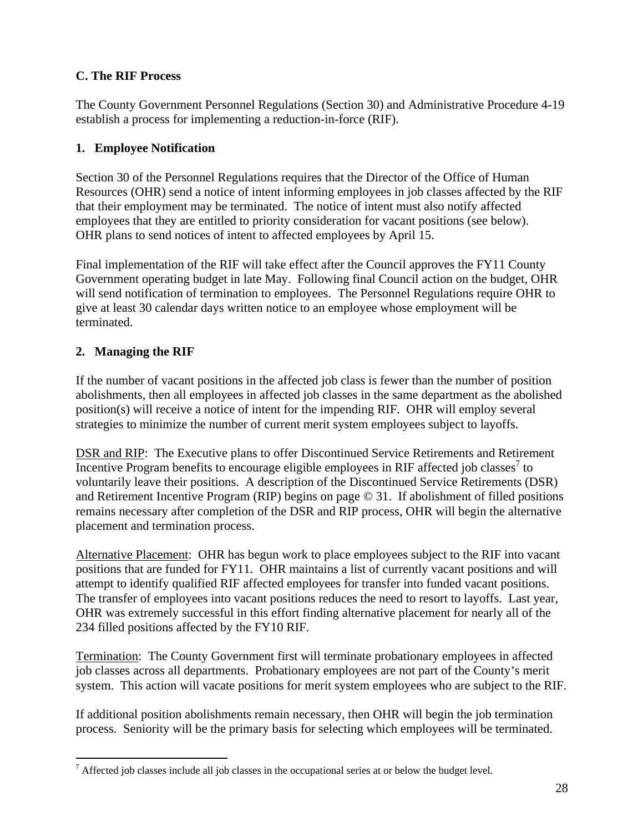# **C. The RIF Process**

The County Government Personnel Regulations (Section 30) and Administrative Procedure 4-19 establish a process for implementing a reduction-in-force (RIF).

# **1. Employee Notification**

Section 30 of the Personnel Regulations requires that the Director of the Office of Human Resources (OHR) send a notice of intent informing employees in job classes affected by the RIF that their employment may be terminated. The notice of intent must also notify affected employees that they are entitled to priority consideration for vacant positions (see below).<br>OHR plans to send notices of intent to affected employees by April 15.<br>Final implementation of the RIF will take effect after the

Government operating budget in late May. Following final Council action on the budget, OHR will send notification of termination to employees. The Personnel Regulations require OHR to give at least 30 calendar days written notice to an employee whose employment will be terminated.

# **2. Managing the RIF**

If the number of vacant positions in the affected job class is fewer than the number of position abolishments, then all employees in affected job classes in the same department as the abolished position(s) will receive a notice of intent for the impending RIF. OHR will employ several

strategies to minimize the number of current merit system employees subject to layoffs.<br>DSR and RIP: The Executive plans to offer Discontinued Service Retirements and Retirement Incentive Program benefits to encourage eligible employees in RIF affected job classes<sup>7</sup> to to voluntarily leave their positions. A description of the Discontinued Service Retirements (DSR) and Retirement Incentive Program (RIP) begins on page © 31. If abolishment of filled positions remains necessary after completion of the DSR and RIP process, OHR will begin the alternative placement and termination process.

Alternative Placement: OHR has begun work to place employees subject to the RIF into vacant positions that are funded for FY11. OHR maintains a list of currently vacant positions and will attempt to identify qualified RIF affected employees for transfer into funded vacant positions. The transfer of employees into vacant positions reduces the need to resort to layoffs. Last year, OHR was extremely successful in this effort finding alternative placement for nearly all of the 234 filled positions affected by the FY10 RIF.

Termination: The County Government first will terminate probationary employees in affected job classes across all departments. Probationary employees are not part of the County s merit system. This action will vacate positions for merit system employees who are subject to the RIF. If additional position abolishments remain necessary, then OHR will begin the job termination

process. Seniority will be the primary basis for selecting which employees will be terminated.

<sup>&</sup>lt;sup>7</sup> Affected job classes include all job classes in the occupational series at or below the budget level.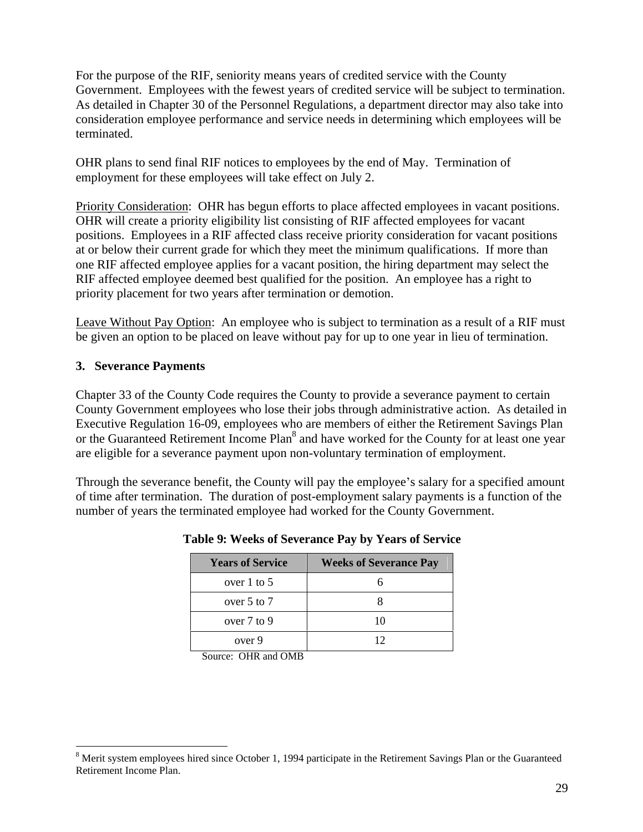For the purpose of the RIF, seniority means years of credited service with the County Government. Employees with the fewest years of credited service will be subject to termination. As detailed in Chapter 30 of the Personnel Regulations, a department director may also take into consideration employee performance and service needs in determining which employees will be terminated.

OHR plans to send final RIF notices to employees by the end of May. Termination of employment for these employees will take effect on July 2.

Priority Consideration: OHR has begun efforts to place affected employees in vacant positions. OHR will create a priority eligibility list consisting of RIF affected employees for vacant positions. Employees in a RIF affected class receive priority consideration for vacant positions at or below their current grade for which they meet the minimum qualifications. If more than one RIF affected employee applies for a vacant position, the hiring department may select the RIF affected employee deemed best qualified for the position. An employee has a right to priority placement for two years after termination or demotion.

Leave Without Pay Option: An employee who is subject to termination as a result of a RIF must be given an option to be placed on leave without pay for up to one year in lieu of termination.

#### **3. Severance Payments**

Chapter 33 of the County Code requires the County to provide a severance payment to certain County Government employees who lose their jobs through administrative action. As detailed in Executive Regulation 16-09, employees who are members of either the Retirement Savings Plan or the Guaranteed Retirement Income Plan<sup>8</sup> and have worked for the County for at least one year are eligible for a severance payment upon non-voluntary termination of employment.

Through the severance benefit, the County will pay the employee's salary for a specified amount of time after termination. The duration of post-employment salary payments is a function of the number of years the terminated employee had worked for the County Government.

| <b>Years of Service</b> | <b>Weeks of Severance Pay</b> |
|-------------------------|-------------------------------|
| over 1 to 5             |                               |
| over 5 to 7             |                               |
| over 7 to 9             |                               |
| over 9                  | $\overline{1}$                |

**Table 9: Weeks of Severance Pay by Years of Service**

Source: OHR and OMB Source of the Source of the Source: OHR and OMB

<sup>&</sup>lt;sup>8</sup> Merit system employees hired since October 1, 1994 participate in the Retirement Savings Plan or the Guaranteed Retirement Income Plan.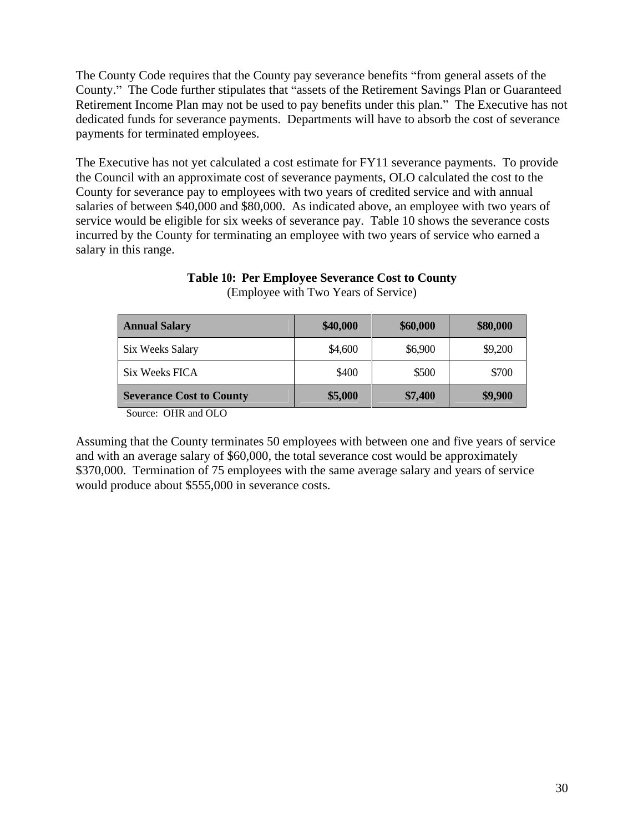The County Code requires that the County pay severance benefits "from general assets of the County." The Code further stipulates that "assets of the Retirement Savings Plan or Guaranteed Retirement Income Plan may not be used to pay benefits under this plan." The Executive has not dedicated funds for severance payments. Departments will have to absorb the cost of severance payments for terminated employees.

The Executive has not yet calculated a cost estimate for FY11 severance payments. To provide the Council with an approximate cost of severance payments, OLO calculated the cost to the County for severance pay to employees with two years of credited service and with annual salaries of between \$40,000 and \$80,000. As indicated above, an employee with two years of service would be eligible for six weeks of severance pay. Table 10 shows the severance costs incurred by the County for terminating an employee with two years of service who earned a salary in this range.

| <b>Annual Salary</b>            | \$40,000 | \$60,000 | \$80,000 |
|---------------------------------|----------|----------|----------|
| Six Weeks Salary                | \$4,600  | \$6,900  | \$9,200  |
| Six Weeks FICA                  | \$400    | \$500    | \$700    |
| <b>Severance Cost to County</b> | \$5,000  | \$7,400  | \$9,900  |
| Source: OHR and OLO             |          |          |          |

**Table 10: Per Employee Severance Cost to County** (Employee with Two Years of Service)

Assuming that the County terminates 50 employees with between one and five years of service and with an average salary of \$60,000, the total severance cost would be approximately \$370,000. Termination of 75 employees with the same average salary and years of service would produce about \$555,000 in severance costs.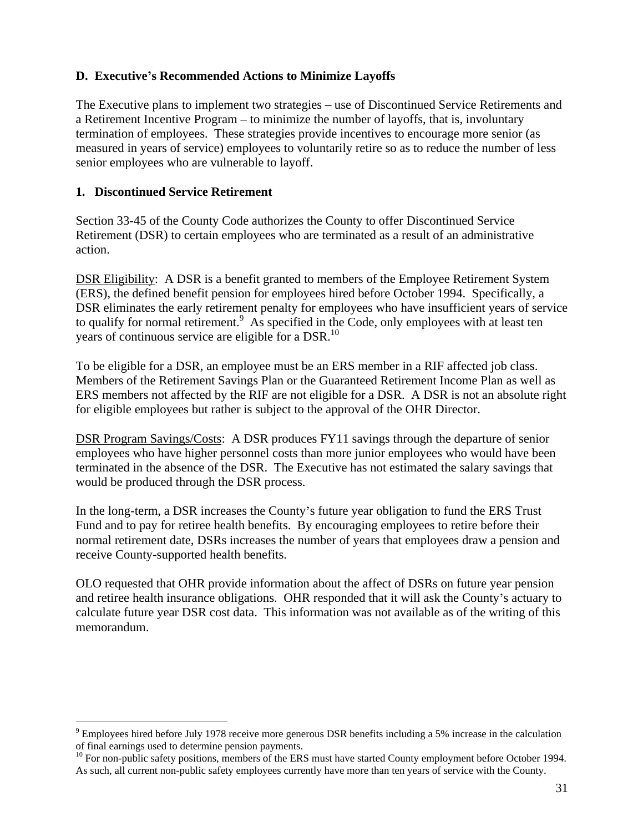### **D. Executive s Recommended Actions to Minimize Layoffs**

The Executive plans to implement two strategies – use of Discontinued Service Retirements and a Retirement Incentive Program  $-$  to minimize the number of layoffs, that is, involuntary termination of employees. These strategies provide incentives to encourage more senior (as measured in years of service) employees to voluntarily retire so as to reduce the number of less senior employees who are vulnerable to layoff.

#### **1. Discontinued Service Retirement**

Section 33-45 of the County Code authorizes the County to offer Discontinued Service Retirement (DSR) to certain employees who are terminated as a result of an administrative action.

DSR Eligibility: A DSR is a benefit granted to members of the Employee Retirement System (ERS), the defined benefit pension for employees hired before October 1994. Specifically, a DSR eliminates the early retirement penalty for employees who have insufficient years of service to qualify for normal retirement.<sup>9</sup> As specified in the Code, only employees with at least ten years of continuous service are eligible for a  $DSR$ <sup>10</sup>.

To be eligible for a DSR, an employee must be an ERS member in a RIF affected job class. Members of the Retirement Savings Plan or the Guaranteed Retirement Income Plan as well as ERS members not affected by the RIF are not eligible for a DSR. A DSR is not an absolute right for eligible employees but rather is subject to the approval of the OHR Director.

DSR Program Savings/Costs: A DSR produces FY11 savings through the departure of senior employees who have higher personnel costs than more junior employees who would have been terminated in the absence of the DSR. The Executive has not estimated the salary savings that would be produced through the DSR process.

In the long-term, a DSR increases the County's future year obligation to fund the ERS Trust Fund and to pay for retiree health benefits. By encouraging employees to retire before their normal retirement date, DSRs increases the number of years that employees draw a pension and receive County-supported health benefits.

OLO requested that OHR provide information about the affect of DSRs on future year pension and retiree health insurance obligations. OHR responded that it will ask the County s actuary to calculate future year DSR cost data. This information was not available as of the writing of this memorandum.

<sup>&</sup>lt;sup>9</sup> Employees hired before July 1978 receive more generous DSR benefits including a 5% increase in the calculation of final earnings used to determine pension payments.<br><sup>10</sup> For non-public safety positions, members of the ERS must have started County employment before October 1994.

As such, all current non-public safety employees currently have more than ten years of service with the County.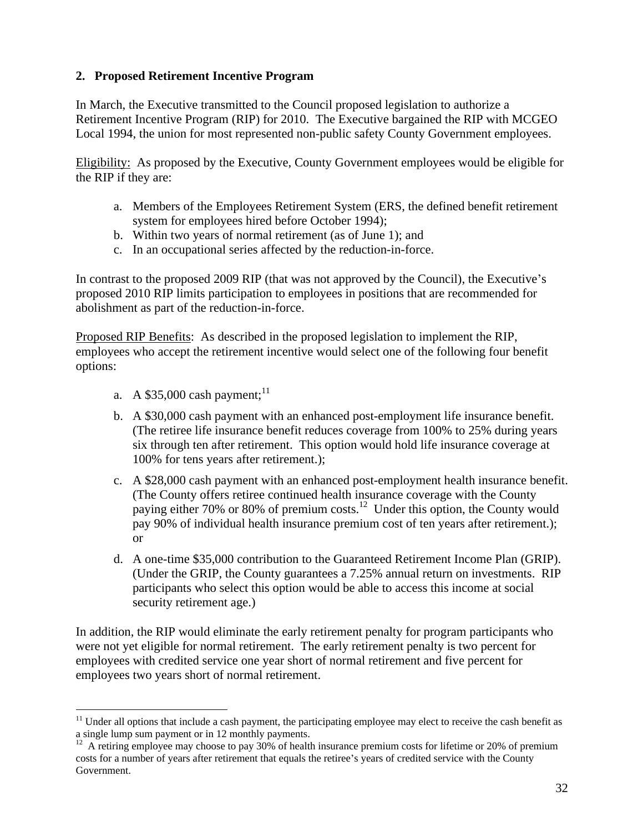## **2. Proposed Retirement Incentive Program**

In March, the Executive transmitted to the Council proposed legislation to authorize a Retirement Incentive Program (RIP) for 2010. The Executive bargained the RIP with MCGEO Local 1994, the union for most represented non-public safety County Government employees.

Eligibility: As proposed by the Executive, County Government employees would be eligible for the RIP if they are:

- a. Members of the Employees Retirement System (ERS, the defined benefit retirement system for employees hired before October 1994);
- b. Within two years of normal retirement (as of June 1); and
- c. In an occupational series affected by the reduction-in-force.

In contrast to the proposed 2009 RIP (that was not approved by the Council), the Executive's proposed 2010 RIP limits participation to employees in positions that are recommended for abolishment as part of the reduction-in-force.<br>Proposed RIP Benefits: As described in the proposed legislation to implement the RIP,

employees who accept the retirement incentive would select one of the following four benefit options:

- a. A \$35,000 cash payment;  $^{11}$ 11
- b. A \$30,000 cash payment with an enhanced post-employment life insurance benefit. (The retiree life insurance benefit reduces coverage from 100% to 25% during years six through ten after retirement. This option would hold life insurance coverage at 100% for tens years after retirement.);
- c. A \$28,000 cash payment with an enhanced post-employment health insurance benefit. (The County offers retiree continued health insurance coverage with the County paying either 70% or 80% of premium costs.<sup>12</sup> Under this option, the County would pay 90% of individual health insurance premium cost of ten years after retirement.); or
- d. A one-time \$35,000 contribution to the Guaranteed Retirement Income Plan (GRIP). (Under the GRIP, the County guarantees a 7.25% annual return on investments. RIP participants who select this option would be able to access this income at social security retirement age.)

In addition, the RIP would eliminate the early retirement penalty for program participants who were not yet eligible for normal retirement. The early retirement penalty is two percent for employees with credited service one year short of normal retirement and five percent for employees two years short of normal retirement.

 $11$  Under all options that include a cash payment, the participating employee may elect to receive the cash benefit as a single lump sum payment or in 12 monthly payments.<br><sup>12</sup> A retiring employee may choose to pay 30% of health insurance premium costs for lifetime or 20% of premium

costs for a number of years after retirement that equals the retiree's years of credited service with the County Government.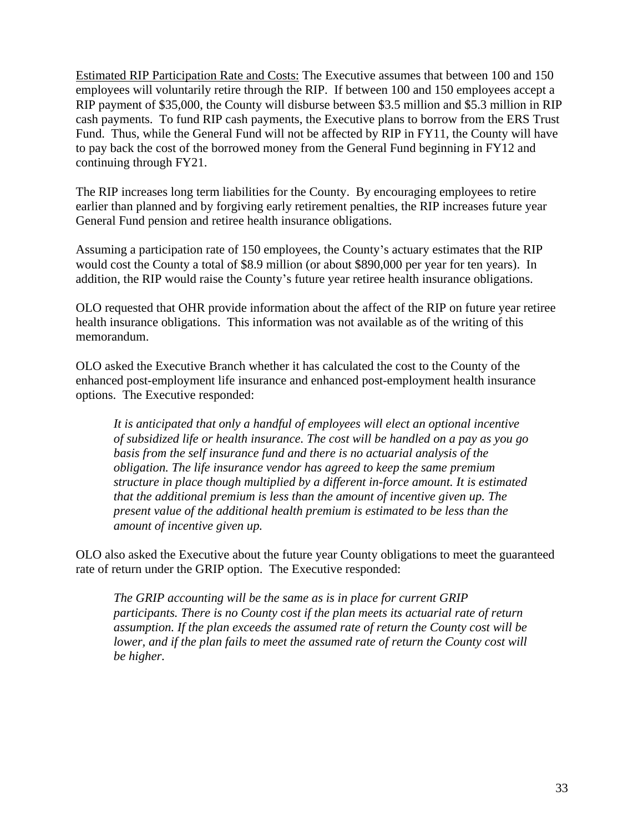Estimated RIP Participation Rate and Costs: The Executive assumes that between 100 and 150 employees will voluntarily retire through the RIP. If between 100 and 150 employees accept a RIP payment of \$35,000, the County will disburse between \$3.5 million and \$5.3 million in RIP cash payments. To fund RIP cash payments, the Executive plans to borrow from the ERS Trust Fund. Thus, while the General Fund will not be affected by RIP in FY11, the County will have to pay back the cost of the borrowed money from the General Fund beginning in FY12 and continuing through FY21.

The RIP increases long term liabilities for the County. By encouraging employees to retire earlier than planned and by forgiving early retirement penalties, the RIP increases future year General Fund pension and retiree health insurance obligations.

Assuming a participation rate of 150 employees, the County's actuary estimates that the RIP would cost the County a total of \$8.9 million (or about \$890,000 per year for ten years). In addition, the RIP would raise the County's future year retiree health insurance obligations.

OLO requested that OHR provide information about the affect of the RIP on future year retiree health insurance obligations. This information was not available as of the writing of this memorandum.

OLO asked the Executive Branch whether it has calculated the cost to the County of the enhanced post-employment life insurance and enhanced post-employment health insurance options. The Executive responded:

*It is anticipated that only a handful of employees will elect an optional incentive of subsidized life or health insurance. The cost will be handled on a pay as you go basis from the self insurance fund and there is no actuarial analysis of the obligation. The life insurance vendor has agreed to keep the same premium structure in place though multiplied by a different in-force amount. It is estimated that the additional premium is less than the amount of incentive given up. The present value of the additional health premium is estimated to be less than the amount of incentive given up.*

OLO also asked the Executive about the future year County obligations to meet the guaranteed rate of return under the GRIP option. The Executive responded:

*The GRIP accounting will be the same as is in place for current GRIP participants. There is no County cost if the plan meets its actuarial rate of return assumption. If the plan exceeds the assumed rate of return the County cost will be lower, and if the plan fails to meet the assumed rate of return the County cost will be higher.*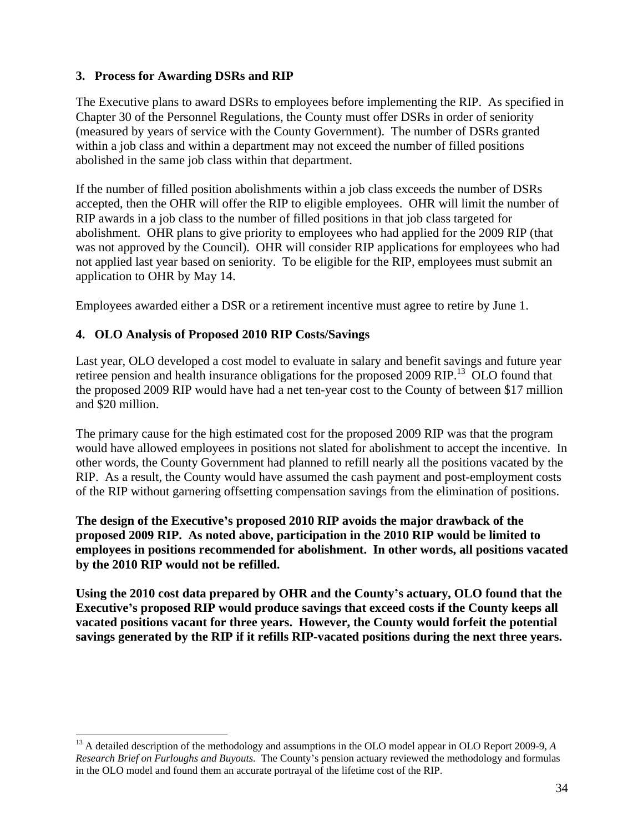### **3. Process for Awarding DSRs and RIP**

The Executive plans to award DSRs to employees before implementing the RIP. As specified in Chapter 30 of the Personnel Regulations, the County must offer DSRs in order of seniority (measured by years of service with the County Government). The number of DSRs granted within a job class and within a department may not exceed the number of filled positions abolished in the same job class within that department.

If the number of filled position abolishments within a job class exceeds the number of DSRs accepted, then the OHR will offer the RIP to eligible employees. OHR will limit the number of RIP awards in a job class to the number of filled positions in that job class targeted for abolishment. OHR plans to give priority to employees who had applied for the 2009 RIP (that was not approved by the Council). OHR will consider RIP applications for employees who had not applied last year based on seniority. To be eligible for the RIP, employees must submit an application to OHR by May 14.

Employees awarded either a DSR or a retirement incentive must agree to retire by June 1.

#### **4. OLO Analysis of Proposed 2010 RIP Costs/Savings**

Last year, OLO developed a cost model to evaluate in salary and benefit savings and future year retiree pension and health insurance obligations for the proposed 2009 RIP.<sup>13</sup> OLO found that the proposed 2009 RIP would have had a net ten-year cost to the County of between \$17 million and \$20 million.

The primary cause for the high estimated cost for the proposed 2009 RIP was that the program would have allowed employees in positions not slated for abolishment to accept the incentive. In other words, the County Government had planned to refill nearly all the positions vacated by the RIP. As a result, the County would have assumed the cash payment and post-employment costs of the RIP without garnering offsetting compensation savings from the elimination of positions.

#### **The design of the Executive s proposed 2010 RIP avoids the major drawback of the proposed 2009 RIP. As noted above, participation in the 2010 RIP would be limited to employees in positions recommended for abolishment. In other words, all positions vacated by the 2010 RIP would not be refilled.**

**Using the 2010 cost data prepared by OHR and the County s actuary, OLO found that the Executive s proposed RIP would produce savings that exceed costs if the County keeps all vacated positions vacant for three years. However, the County would forfeit the potential savings generated by the RIP if it refills RIP-vacated positions during the next three years.**

<sup>&</sup>lt;sup>13</sup> A detailed description of the methodology and assumptions in the OLO model appear in OLO Report 2009-9, *A Research Brief on Furloughs and Buyouts.* The County's pension actuary reviewed the methodology and formulas in the OLO model and found them an accurate portrayal of the lifetime cost of the RIP.